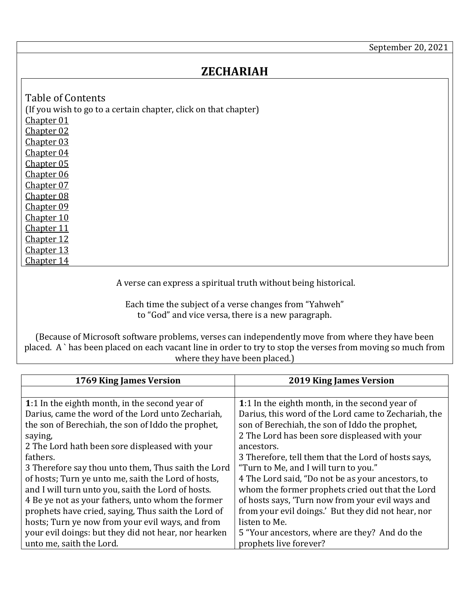## **ZECHARIAH**

<span id="page-0-9"></span><span id="page-0-8"></span><span id="page-0-7"></span><span id="page-0-6"></span><span id="page-0-5"></span><span id="page-0-4"></span><span id="page-0-3"></span><span id="page-0-2"></span><span id="page-0-1"></span>Table of Contents (If you wish to go to a certain chapter, click on that chapter) [Chapter 01](#page-0-0) [Chapter 02](#page-2-0) [Chapter 03](#page-3-0) [Chapter 04](#page-4-0) [Chapter 05](#page-5-0) [Chapter 06](#page-5-1) [Chapter 07](#page-7-0) [Chapter 08](#page-8-0) [Chapter 09](#page-9-0) [Chapter 10](#page-11-0) [Chapter 11](#page-12-0) [Chapter 12](#page-13-0) [Chapter 13](#page-14-0) [Chapter 14](#page-15-0)

<span id="page-0-11"></span><span id="page-0-10"></span>A verse can express a spiritual truth without being historical.

Each time the subject of a verse changes from "Yahweh" to "God" and vice versa, there is a new paragraph.

<span id="page-0-14"></span><span id="page-0-13"></span><span id="page-0-12"></span>(Because of Microsoft software problems, verses can independently move from where they have been placed. A ` has been placed on each vacant line in order to try to stop the verses from moving so much from where they have been placed.)

<span id="page-0-0"></span>

| 1769 King James Version                              | <b>2019 King James Version</b>                       |
|------------------------------------------------------|------------------------------------------------------|
|                                                      |                                                      |
| 1:1 In the eighth month, in the second year of       | 1:1 In the eighth month, in the second year of       |
| Darius, came the word of the Lord unto Zechariah,    | Darius, this word of the Lord came to Zechariah, the |
| the son of Berechiah, the son of Iddo the prophet,   | son of Berechiah, the son of Iddo the prophet,       |
| saying,                                              | 2 The Lord has been sore displeased with your        |
| 2 The Lord hath been sore displeased with your       | ancestors.                                           |
| fathers.                                             | 3 Therefore, tell them that the Lord of hosts says,  |
| 3 Therefore say thou unto them, Thus saith the Lord  | "Turn to Me, and I will turn to you."                |
| of hosts; Turn ye unto me, saith the Lord of hosts,  | 4 The Lord said, "Do not be as your ancestors, to    |
| and I will turn unto you, saith the Lord of hosts.   | whom the former prophets cried out that the Lord     |
| 4 Be ye not as your fathers, unto whom the former    | of hosts says, 'Turn now from your evil ways and     |
| prophets have cried, saying, Thus saith the Lord of  | from your evil doings.' But they did not hear, nor   |
| hosts; Turn ye now from your evil ways, and from     | listen to Me.                                        |
| your evil doings: but they did not hear, nor hearken | 5 "Your ancestors, where are they? And do the        |
| unto me, saith the Lord.                             | prophets live forever?                               |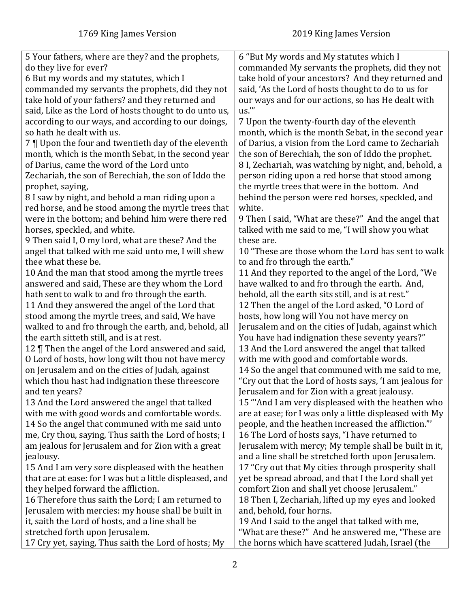| 5 Your fathers, where are they? and the prophets,        | 6 "But My words and My statutes which I                 |
|----------------------------------------------------------|---------------------------------------------------------|
| do they live for ever?                                   | commanded My servants the prophets, did they not        |
| 6 But my words and my statutes, which I                  | take hold of your ancestors? And they returned and      |
| commanded my servants the prophets, did they not         | said, 'As the Lord of hosts thought to do to us for     |
| take hold of your fathers? and they returned and         | our ways and for our actions, so has He dealt with      |
| said, Like as the Lord of hosts thought to do unto us,   | us."                                                    |
| according to our ways, and according to our doings,      | 7 Upon the twenty-fourth day of the eleventh            |
| so hath he dealt with us.                                | month, which is the month Sebat, in the second year     |
| 7   Upon the four and twentieth day of the eleventh      | of Darius, a vision from the Lord came to Zechariah     |
| month, which is the month Sebat, in the second year      | the son of Berechiah, the son of Iddo the prophet.      |
| of Darius, came the word of the Lord unto                | 8 I, Zechariah, was watching by night, and, behold, a   |
| Zechariah, the son of Berechiah, the son of Iddo the     | person riding upon a red horse that stood among         |
| prophet, saying,                                         | the myrtle trees that were in the bottom. And           |
| 8 I saw by night, and behold a man riding upon a         | behind the person were red horses, speckled, and        |
| red horse, and he stood among the myrtle trees that      | white.                                                  |
| were in the bottom; and behind him were there red        | 9 Then I said, "What are these?" And the angel that     |
| horses, speckled, and white.                             | talked with me said to me, "I will show you what        |
| 9 Then said I, 0 my lord, what are these? And the        | these are.                                              |
| angel that talked with me said unto me, I will shew      | 10 "These are those whom the Lord has sent to walk      |
| thee what these be.                                      | to and fro through the earth."                          |
| 10 And the man that stood among the myrtle trees         | 11 And they reported to the angel of the Lord, "We      |
| answered and said, These are they whom the Lord          | have walked to and fro through the earth. And,          |
|                                                          |                                                         |
| hath sent to walk to and fro through the earth.          | behold, all the earth sits still, and is at rest."      |
| 11 And they answered the angel of the Lord that          | 12 Then the angel of the Lord asked, "O Lord of         |
| stood among the myrtle trees, and said, We have          | hosts, how long will You not have mercy on              |
| walked to and fro through the earth, and, behold, all    | Jerusalem and on the cities of Judah, against which     |
| the earth sitteth still, and is at rest.                 | You have had indignation these seventy years?"          |
| 12   Then the angel of the Lord answered and said,       | 13 And the Lord answered the angel that talked          |
| O Lord of hosts, how long wilt thou not have mercy       | with me with good and comfortable words.                |
| on Jerusalem and on the cities of Judah, against         | 14 So the angel that communed with me said to me,       |
| which thou hast had indignation these threescore         | "Cry out that the Lord of hosts says, 'I am jealous for |
| and ten years?                                           | Jerusalem and for Zion with a great jealousy.           |
| 13 And the Lord answered the angel that talked           | 15 "And I am very displeased with the heathen who       |
| with me with good words and comfortable words.           | are at ease; for I was only a little displeased with My |
| 14 So the angel that communed with me said unto          | people, and the heathen increased the affliction."      |
| me, Cry thou, saying, Thus saith the Lord of hosts; I    | 16 The Lord of hosts says, "I have returned to          |
| am jealous for Jerusalem and for Zion with a great       | Jerusalem with mercy; My temple shall be built in it,   |
| jealousy.                                                | and a line shall be stretched forth upon Jerusalem.     |
| 15 And I am very sore displeased with the heathen        | 17 "Cry out that My cities through prosperity shall     |
| that are at ease: for I was but a little displeased, and | yet be spread abroad, and that I the Lord shall yet     |
| they helped forward the affliction.                      | comfort Zion and shall yet choose Jerusalem."           |
| 16 Therefore thus saith the Lord; I am returned to       | 18 Then I, Zechariah, lifted up my eyes and looked      |
| Jerusalem with mercies: my house shall be built in       | and, behold, four horns.                                |
| it, saith the Lord of hosts, and a line shall be         | 19 And I said to the angel that talked with me,         |
| stretched forth upon Jerusalem.                          | "What are these?" And he answered me, "These are        |
| 17 Cry yet, saying, Thus saith the Lord of hosts; My     | the horns which have scattered Judah, Israel (the       |
|                                                          |                                                         |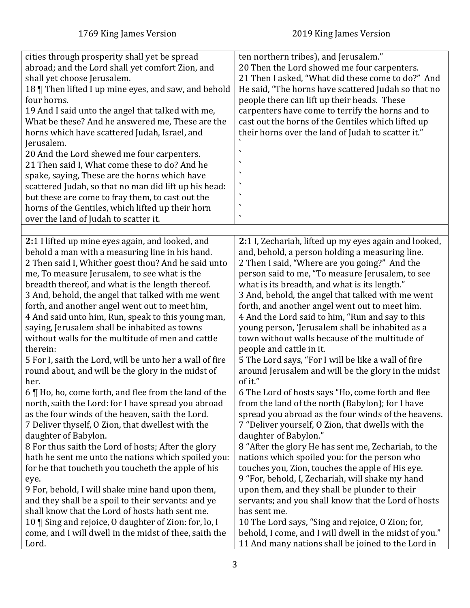<span id="page-2-0"></span>

| cities through prosperity shall yet be spread<br>abroad; and the Lord shall yet comfort Zion, and<br>shall yet choose Jerusalem.<br>18   Then lifted I up mine eyes, and saw, and behold<br>four horns.<br>19 And I said unto the angel that talked with me,<br>What be these? And he answered me, These are the<br>horns which have scattered Judah, Israel, and<br>Jerusalem.<br>20 And the Lord shewed me four carpenters.<br>21 Then said I, What come these to do? And he<br>spake, saying, These are the horns which have<br>scattered Judah, so that no man did lift up his head:<br>but these are come to fray them, to cast out the<br>horns of the Gentiles, which lifted up their horn<br>over the land of Judah to scatter it. | ten northern tribes), and Jerusalem."<br>20 Then the Lord showed me four carpenters.<br>21 Then I asked, "What did these come to do?" And<br>He said, "The horns have scattered Judah so that no<br>people there can lift up their heads. These<br>carpenters have come to terrify the horns and to<br>cast out the horns of the Gentiles which lifted up<br>their horns over the land of Judah to scatter it."<br>٠<br>$\overline{\phantom{a}}$ |
|--------------------------------------------------------------------------------------------------------------------------------------------------------------------------------------------------------------------------------------------------------------------------------------------------------------------------------------------------------------------------------------------------------------------------------------------------------------------------------------------------------------------------------------------------------------------------------------------------------------------------------------------------------------------------------------------------------------------------------------------|--------------------------------------------------------------------------------------------------------------------------------------------------------------------------------------------------------------------------------------------------------------------------------------------------------------------------------------------------------------------------------------------------------------------------------------------------|
|                                                                                                                                                                                                                                                                                                                                                                                                                                                                                                                                                                                                                                                                                                                                            |                                                                                                                                                                                                                                                                                                                                                                                                                                                  |
| 2:1 I lifted up mine eyes again, and looked, and                                                                                                                                                                                                                                                                                                                                                                                                                                                                                                                                                                                                                                                                                           | 2:1 I, Zechariah, lifted up my eyes again and looked,                                                                                                                                                                                                                                                                                                                                                                                            |
| behold a man with a measuring line in his hand.                                                                                                                                                                                                                                                                                                                                                                                                                                                                                                                                                                                                                                                                                            | and, behold, a person holding a measuring line.                                                                                                                                                                                                                                                                                                                                                                                                  |
| 2 Then said I, Whither goest thou? And he said unto                                                                                                                                                                                                                                                                                                                                                                                                                                                                                                                                                                                                                                                                                        | 2 Then I said, "Where are you going?" And the                                                                                                                                                                                                                                                                                                                                                                                                    |
| me, To measure Jerusalem, to see what is the                                                                                                                                                                                                                                                                                                                                                                                                                                                                                                                                                                                                                                                                                               | person said to me, "To measure Jerusalem, to see                                                                                                                                                                                                                                                                                                                                                                                                 |
| breadth thereof, and what is the length thereof.                                                                                                                                                                                                                                                                                                                                                                                                                                                                                                                                                                                                                                                                                           | what is its breadth, and what is its length."                                                                                                                                                                                                                                                                                                                                                                                                    |
| 3 And, behold, the angel that talked with me went                                                                                                                                                                                                                                                                                                                                                                                                                                                                                                                                                                                                                                                                                          | 3 And, behold, the angel that talked with me went                                                                                                                                                                                                                                                                                                                                                                                                |
| forth, and another angel went out to meet him,                                                                                                                                                                                                                                                                                                                                                                                                                                                                                                                                                                                                                                                                                             | forth, and another angel went out to meet him.                                                                                                                                                                                                                                                                                                                                                                                                   |
| 4 And said unto him, Run, speak to this young man,                                                                                                                                                                                                                                                                                                                                                                                                                                                                                                                                                                                                                                                                                         | 4 And the Lord said to him, "Run and say to this                                                                                                                                                                                                                                                                                                                                                                                                 |
| saying, Jerusalem shall be inhabited as towns                                                                                                                                                                                                                                                                                                                                                                                                                                                                                                                                                                                                                                                                                              | young person, 'Jerusalem shall be inhabited as a                                                                                                                                                                                                                                                                                                                                                                                                 |
| without walls for the multitude of men and cattle                                                                                                                                                                                                                                                                                                                                                                                                                                                                                                                                                                                                                                                                                          | town without walls because of the multitude of                                                                                                                                                                                                                                                                                                                                                                                                   |
| therein:                                                                                                                                                                                                                                                                                                                                                                                                                                                                                                                                                                                                                                                                                                                                   | people and cattle in it.                                                                                                                                                                                                                                                                                                                                                                                                                         |
| 5 For I, saith the Lord, will be unto her a wall of fire                                                                                                                                                                                                                                                                                                                                                                                                                                                                                                                                                                                                                                                                                   | 5 The Lord says, "For I will be like a wall of fire                                                                                                                                                                                                                                                                                                                                                                                              |
| round about, and will be the glory in the midst of                                                                                                                                                                                                                                                                                                                                                                                                                                                                                                                                                                                                                                                                                         | around Jerusalem and will be the glory in the midst                                                                                                                                                                                                                                                                                                                                                                                              |
| her.                                                                                                                                                                                                                                                                                                                                                                                                                                                                                                                                                                                                                                                                                                                                       | of it."                                                                                                                                                                                                                                                                                                                                                                                                                                          |
| 6   Ho, ho, come forth, and flee from the land of the                                                                                                                                                                                                                                                                                                                                                                                                                                                                                                                                                                                                                                                                                      | 6 The Lord of hosts says "Ho, come forth and flee                                                                                                                                                                                                                                                                                                                                                                                                |
| north, saith the Lord: for I have spread you abroad                                                                                                                                                                                                                                                                                                                                                                                                                                                                                                                                                                                                                                                                                        | from the land of the north (Babylon); for I have                                                                                                                                                                                                                                                                                                                                                                                                 |
| as the four winds of the heaven, saith the Lord.                                                                                                                                                                                                                                                                                                                                                                                                                                                                                                                                                                                                                                                                                           | spread you abroad as the four winds of the heavens.                                                                                                                                                                                                                                                                                                                                                                                              |
| 7 Deliver thyself, O Zion, that dwellest with the                                                                                                                                                                                                                                                                                                                                                                                                                                                                                                                                                                                                                                                                                          | 7 "Deliver yourself, 0 Zion, that dwells with the                                                                                                                                                                                                                                                                                                                                                                                                |
| daughter of Babylon.                                                                                                                                                                                                                                                                                                                                                                                                                                                                                                                                                                                                                                                                                                                       | daughter of Babylon."                                                                                                                                                                                                                                                                                                                                                                                                                            |
| 8 For thus saith the Lord of hosts; After the glory                                                                                                                                                                                                                                                                                                                                                                                                                                                                                                                                                                                                                                                                                        | 8 "After the glory He has sent me, Zechariah, to the                                                                                                                                                                                                                                                                                                                                                                                             |
| hath he sent me unto the nations which spoiled you:                                                                                                                                                                                                                                                                                                                                                                                                                                                                                                                                                                                                                                                                                        | nations which spoiled you: for the person who                                                                                                                                                                                                                                                                                                                                                                                                    |
| for he that toucheth you toucheth the apple of his                                                                                                                                                                                                                                                                                                                                                                                                                                                                                                                                                                                                                                                                                         | touches you, Zion, touches the apple of His eye.                                                                                                                                                                                                                                                                                                                                                                                                 |
| eye.                                                                                                                                                                                                                                                                                                                                                                                                                                                                                                                                                                                                                                                                                                                                       | 9 "For, behold, I, Zechariah, will shake my hand                                                                                                                                                                                                                                                                                                                                                                                                 |
| 9 For, behold, I will shake mine hand upon them,                                                                                                                                                                                                                                                                                                                                                                                                                                                                                                                                                                                                                                                                                           | upon them, and they shall be plunder to their                                                                                                                                                                                                                                                                                                                                                                                                    |
| and they shall be a spoil to their servants: and ye                                                                                                                                                                                                                                                                                                                                                                                                                                                                                                                                                                                                                                                                                        | servants; and you shall know that the Lord of hosts                                                                                                                                                                                                                                                                                                                                                                                              |
| shall know that the Lord of hosts hath sent me.                                                                                                                                                                                                                                                                                                                                                                                                                                                                                                                                                                                                                                                                                            | has sent me.                                                                                                                                                                                                                                                                                                                                                                                                                                     |
| 10   Sing and rejoice, O daughter of Zion: for, lo, I                                                                                                                                                                                                                                                                                                                                                                                                                                                                                                                                                                                                                                                                                      | 10 The Lord says, "Sing and rejoice, O Zion; for,                                                                                                                                                                                                                                                                                                                                                                                                |
| come, and I will dwell in the midst of thee, saith the                                                                                                                                                                                                                                                                                                                                                                                                                                                                                                                                                                                                                                                                                     | behold, I come, and I will dwell in the midst of you."                                                                                                                                                                                                                                                                                                                                                                                           |
| Lord.                                                                                                                                                                                                                                                                                                                                                                                                                                                                                                                                                                                                                                                                                                                                      | 11 And many nations shall be joined to the Lord in                                                                                                                                                                                                                                                                                                                                                                                               |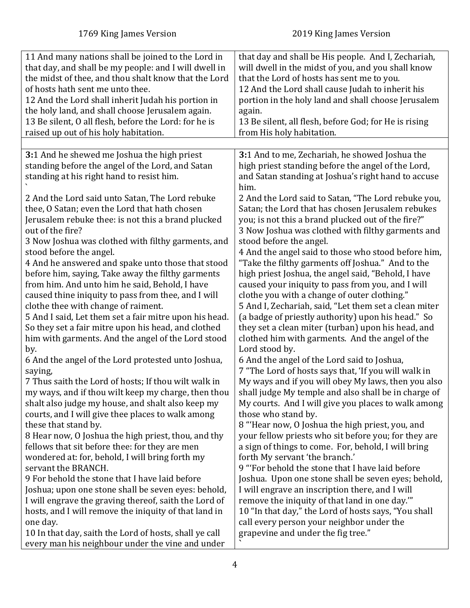<span id="page-3-0"></span>

| 11 And many nations shall be joined to the Lord in<br>that day, and shall be my people: and I will dwell in<br>the midst of thee, and thou shalt know that the Lord<br>of hosts hath sent me unto thee.<br>12 And the Lord shall inherit Judah his portion in<br>the holy land, and shall choose Jerusalem again.<br>13 Be silent, O all flesh, before the Lord: for he is<br>raised up out of his holy habitation.                                                                                                                                                                                                                                                                                                                                                                                                                                                                                                                                                                                                                                                                                                                                                                                                                                                                                                                                                                                                                                                                                                                                                                 | that day and shall be His people. And I, Zechariah,<br>will dwell in the midst of you, and you shall know<br>that the Lord of hosts has sent me to you.<br>12 And the Lord shall cause Judah to inherit his<br>portion in the holy land and shall choose Jerusalem<br>again.<br>13 Be silent, all flesh, before God; for He is rising<br>from His holy habitation.                                                                                                                                                                                                                                                                                                                                                                                                                                                                                                                                                                                                                                                                                                                                                                                                                                                                                                                                                                                                                                                                                                                                                                                                                                                                                                                                                     |
|-------------------------------------------------------------------------------------------------------------------------------------------------------------------------------------------------------------------------------------------------------------------------------------------------------------------------------------------------------------------------------------------------------------------------------------------------------------------------------------------------------------------------------------------------------------------------------------------------------------------------------------------------------------------------------------------------------------------------------------------------------------------------------------------------------------------------------------------------------------------------------------------------------------------------------------------------------------------------------------------------------------------------------------------------------------------------------------------------------------------------------------------------------------------------------------------------------------------------------------------------------------------------------------------------------------------------------------------------------------------------------------------------------------------------------------------------------------------------------------------------------------------------------------------------------------------------------------|------------------------------------------------------------------------------------------------------------------------------------------------------------------------------------------------------------------------------------------------------------------------------------------------------------------------------------------------------------------------------------------------------------------------------------------------------------------------------------------------------------------------------------------------------------------------------------------------------------------------------------------------------------------------------------------------------------------------------------------------------------------------------------------------------------------------------------------------------------------------------------------------------------------------------------------------------------------------------------------------------------------------------------------------------------------------------------------------------------------------------------------------------------------------------------------------------------------------------------------------------------------------------------------------------------------------------------------------------------------------------------------------------------------------------------------------------------------------------------------------------------------------------------------------------------------------------------------------------------------------------------------------------------------------------------------------------------------------|
|                                                                                                                                                                                                                                                                                                                                                                                                                                                                                                                                                                                                                                                                                                                                                                                                                                                                                                                                                                                                                                                                                                                                                                                                                                                                                                                                                                                                                                                                                                                                                                                     |                                                                                                                                                                                                                                                                                                                                                                                                                                                                                                                                                                                                                                                                                                                                                                                                                                                                                                                                                                                                                                                                                                                                                                                                                                                                                                                                                                                                                                                                                                                                                                                                                                                                                                                        |
| 3:1 And he shewed me Joshua the high priest<br>standing before the angel of the Lord, and Satan<br>standing at his right hand to resist him.<br>2 And the Lord said unto Satan, The Lord rebuke<br>thee, O Satan; even the Lord that hath chosen<br>Jerusalem rebuke thee: is not this a brand plucked<br>out of the fire?<br>3 Now Joshua was clothed with filthy garments, and<br>stood before the angel.<br>4 And he answered and spake unto those that stood<br>before him, saying, Take away the filthy garments<br>from him. And unto him he said, Behold, I have<br>caused thine iniquity to pass from thee, and I will<br>clothe thee with change of raiment.<br>5 And I said, Let them set a fair mitre upon his head.<br>So they set a fair mitre upon his head, and clothed<br>him with garments. And the angel of the Lord stood<br>by.<br>6 And the angel of the Lord protested unto Joshua,<br>saying,<br>7 Thus saith the Lord of hosts; If thou wilt walk in<br>my ways, and if thou wilt keep my charge, then thou<br>shalt also judge my house, and shalt also keep my<br>courts, and I will give thee places to walk among<br>these that stand by.<br>8 Hear now, O Joshua the high priest, thou, and thy<br>fellows that sit before thee: for they are men<br>wondered at: for, behold, I will bring forth my<br>servant the BRANCH.<br>9 For behold the stone that I have laid before<br>Joshua; upon one stone shall be seven eyes: behold,<br>I will engrave the graving thereof, saith the Lord of<br>hosts, and I will remove the iniquity of that land in | 3:1 And to me, Zechariah, he showed Joshua the<br>high priest standing before the angel of the Lord,<br>and Satan standing at Joshua's right hand to accuse<br>him.<br>2 And the Lord said to Satan, "The Lord rebuke you,<br>Satan; the Lord that has chosen Jerusalem rebukes<br>you; is not this a brand plucked out of the fire?"<br>3 Now Joshua was clothed with filthy garments and<br>stood before the angel.<br>4 And the angel said to those who stood before him,<br>"Take the filthy garments off Joshua." And to the<br>high priest Joshua, the angel said, "Behold, I have<br>caused your iniquity to pass from you, and I will<br>clothe you with a change of outer clothing."<br>5 And I, Zechariah, said, "Let them set a clean miter<br>(a badge of priestly authority) upon his head." So<br>they set a clean miter (turban) upon his head, and<br>clothed him with garments. And the angel of the<br>Lord stood by.<br>6 And the angel of the Lord said to Joshua,<br>7 "The Lord of hosts says that, 'If you will walk in<br>My ways and if you will obey My laws, then you also<br>shall judge My temple and also shall be in charge of<br>My courts. And I will give you places to walk among<br>those who stand by.<br>8 "Hear now, O Joshua the high priest, you, and<br>your fellow priests who sit before you; for they are<br>a sign of things to come. For, behold, I will bring<br>forth My servant 'the branch.'<br>9 "'For behold the stone that I have laid before<br>Joshua. Upon one stone shall be seven eyes; behold,<br>I will engrave an inscription there, and I will<br>remove the iniquity of that land in one day."<br>10 "In that day," the Lord of hosts says, "You shall |
| one day.<br>10 In that day, saith the Lord of hosts, shall ye call<br>every man his neighbour under the vine and under                                                                                                                                                                                                                                                                                                                                                                                                                                                                                                                                                                                                                                                                                                                                                                                                                                                                                                                                                                                                                                                                                                                                                                                                                                                                                                                                                                                                                                                              | call every person your neighbor under the<br>grapevine and under the fig tree."                                                                                                                                                                                                                                                                                                                                                                                                                                                                                                                                                                                                                                                                                                                                                                                                                                                                                                                                                                                                                                                                                                                                                                                                                                                                                                                                                                                                                                                                                                                                                                                                                                        |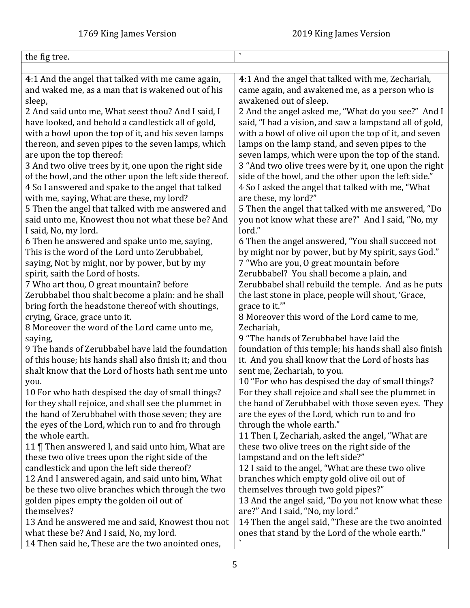<span id="page-4-0"></span>

| the fig tree.                                                                                   | $\tilde{\phantom{a}}$                                                                              |
|-------------------------------------------------------------------------------------------------|----------------------------------------------------------------------------------------------------|
|                                                                                                 |                                                                                                    |
| 4:1 And the angel that talked with me came again,                                               | 4:1 And the angel that talked with me, Zechariah,                                                  |
| and waked me, as a man that is wakened out of his                                               | came again, and awakened me, as a person who is                                                    |
| sleep,                                                                                          | awakened out of sleep.                                                                             |
| 2 And said unto me, What seest thou? And I said, I                                              | 2 And the angel asked me, "What do you see?" And I                                                 |
| have looked, and behold a candlestick all of gold,                                              | said, "I had a vision, and saw a lampstand all of gold,                                            |
| with a bowl upon the top of it, and his seven lamps                                             | with a bowl of olive oil upon the top of it, and seven                                             |
| thereon, and seven pipes to the seven lamps, which                                              | lamps on the lamp stand, and seven pipes to the                                                    |
| are upon the top thereof:                                                                       | seven lamps, which were upon the top of the stand.                                                 |
| 3 And two olive trees by it, one upon the right side                                            | 3 "And two olive trees were by it, one upon the right                                              |
| of the bowl, and the other upon the left side thereof.                                          | side of the bowl, and the other upon the left side."                                               |
| 4 So I answered and spake to the angel that talked                                              | 4 So I asked the angel that talked with me, "What                                                  |
| with me, saying, What are these, my lord?                                                       | are these, my lord?"                                                                               |
| 5 Then the angel that talked with me answered and                                               | 5 Then the angel that talked with me answered, "Do                                                 |
| said unto me, Knowest thou not what these be? And                                               | you not know what these are?" And I said, "No, my                                                  |
| I said, No, my lord.                                                                            | lord."                                                                                             |
| 6 Then he answered and spake unto me, saying,                                                   | 6 Then the angel answered, "You shall succeed not                                                  |
| This is the word of the Lord unto Zerubbabel,                                                   | by might nor by power, but by My spirit, says God."                                                |
| saying, Not by might, nor by power, but by my                                                   | 7 "Who are you, O great mountain before                                                            |
| spirit, saith the Lord of hosts.                                                                | Zerubbabel? You shall become a plain, and                                                          |
| 7 Who art thou, O great mountain? before                                                        | Zerubbabel shall rebuild the temple. And as he puts                                                |
| Zerubbabel thou shalt become a plain: and he shall                                              | the last stone in place, people will shout, 'Grace,                                                |
| bring forth the headstone thereof with shoutings,                                               | grace to it.""                                                                                     |
| crying, Grace, grace unto it.                                                                   | 8 Moreover this word of the Lord came to me,                                                       |
| 8 Moreover the word of the Lord came unto me,                                                   | Zechariah,                                                                                         |
| saying,                                                                                         | 9 "The hands of Zerubbabel have laid the                                                           |
| 9 The hands of Zerubbabel have laid the foundation                                              | foundation of this temple; his hands shall also finish                                             |
| of this house; his hands shall also finish it; and thou                                         | it. And you shall know that the Lord of hosts has                                                  |
| shalt know that the Lord of hosts hath sent me unto                                             | sent me, Zechariah, to you.                                                                        |
| you.                                                                                            | 10 "For who has despised the day of small things?                                                  |
| 10 For who hath despised the day of small things?                                               | For they shall rejoice and shall see the plummet in                                                |
| for they shall rejoice, and shall see the plummet in                                            | the hand of Zerubbabel with those seven eyes. They                                                 |
| the hand of Zerubbabel with those seven; they are                                               | are the eyes of the Lord, which run to and fro                                                     |
| the eyes of the Lord, which run to and fro through<br>the whole earth.                          | through the whole earth."                                                                          |
|                                                                                                 | 11 Then I, Zechariah, asked the angel, "What are<br>these two olive trees on the right side of the |
| 11   Then answered I, and said unto him, What are                                               |                                                                                                    |
| these two olive trees upon the right side of the<br>candlestick and upon the left side thereof? | lampstand and on the left side?"                                                                   |
| 12 And I answered again, and said unto him, What                                                | 12 I said to the angel, "What are these two olive                                                  |
| be these two olive branches which through the two                                               | branches which empty gold olive oil out of<br>themselves through two gold pipes?"                  |
| golden pipes empty the golden oil out of                                                        | 13 And the angel said, "Do you not know what these                                                 |
| themselves?                                                                                     | are?" And I said, "No, my lord."                                                                   |
| 13 And he answered me and said, Knowest thou not                                                | 14 Then the angel said, "These are the two anointed                                                |
| what these be? And I said, No, my lord.                                                         | ones that stand by the Lord of the whole earth."                                                   |
| 14 Then said he, These are the two anointed ones,                                               |                                                                                                    |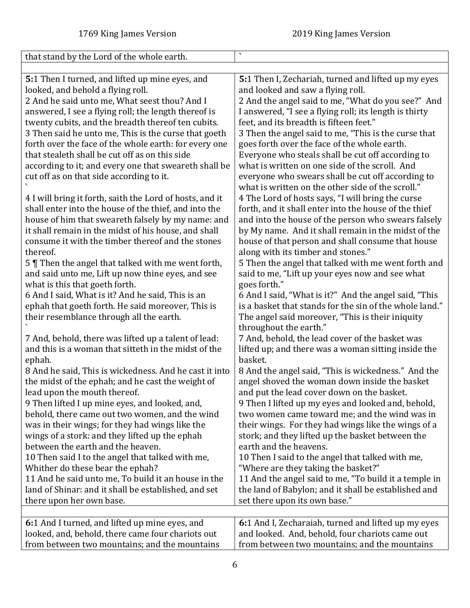<span id="page-5-1"></span><span id="page-5-0"></span>

| that stand by the Lord of the whole earth.               | $\blacktriangledown$                                    |
|----------------------------------------------------------|---------------------------------------------------------|
|                                                          |                                                         |
| 5:1 Then I turned, and lifted up mine eyes, and          | 5:1 Then I, Zechariah, turned and lifted up my eyes     |
| looked, and behold a flying roll.                        | and looked and saw a flying roll.                       |
| 2 And he said unto me, What seest thou? And I            | 2 And the angel said to me, "What do you see?" And      |
| answered, I see a flying roll; the length thereof is     | I answered, "I see a flying roll; its length is thirty  |
| twenty cubits, and the breadth thereof ten cubits.       | feet, and its breadth is fifteen feet."                 |
| 3 Then said he unto me, This is the curse that goeth     | 3 Then the angel said to me, "This is the curse that    |
| forth over the face of the whole earth: for every one    | goes forth over the face of the whole earth.            |
| that stealeth shall be cut off as on this side           | Everyone who steals shall be cut off according to       |
| according to it; and every one that sweareth shall be    | what is written on one side of the scroll. And          |
| cut off as on that side according to it.                 | everyone who swears shall be cut off according to       |
|                                                          | what is written on the other side of the scroll."       |
| 4 I will bring it forth, saith the Lord of hosts, and it | 4 The Lord of hosts says, "I will bring the curse       |
| shall enter into the house of the thief, and into the    | forth, and it shall enter into the house of the thief   |
| house of him that sweareth falsely by my name: and       | and into the house of the person who swears falsely     |
| it shall remain in the midst of his house, and shall     | by My name. And it shall remain in the midst of the     |
| consume it with the timber thereof and the stones        | house of that person and shall consume that house       |
| thereof.                                                 | along with its timber and stones."                      |
| 5   Then the angel that talked with me went forth,       | 5 Then the angel that talked with me went forth and     |
| and said unto me, Lift up now thine eyes, and see        | said to me, "Lift up your eyes now and see what         |
| what is this that goeth forth.                           | goes forth."                                            |
| 6 And I said, What is it? And he said, This is an        | 6 And I said, "What is it?" And the angel said, "This   |
| ephah that goeth forth. He said moreover, This is        | is a basket that stands for the sin of the whole land." |
| their resemblance through all the earth.                 | The angel said moreover, "This is their iniquity        |
|                                                          | throughout the earth."                                  |
| 7 And, behold, there was lifted up a talent of lead:     | 7 And, behold, the lead cover of the basket was         |
| and this is a woman that sitteth in the midst of the     | lifted up; and there was a woman sitting inside the     |
| ephah.                                                   | basket.                                                 |
| 8 And he said, This is wickedness. And he cast it into   | 8 And the angel said, "This is wickedness." And the     |
| the midst of the ephah; and he cast the weight of        | angel shoved the woman down inside the basket           |
| lead upon the mouth thereof.                             | and put the lead cover down on the basket.              |
| 9 Then lifted I up mine eyes, and looked, and,           | 9 Then I lifted up my eyes and looked and, behold,      |
| behold, there came out two women, and the wind           | two women came toward me; and the wind was in           |
| was in their wings; for they had wings like the          | their wings. For they had wings like the wings of a     |
| wings of a stork: and they lifted up the ephah           | stork; and they lifted up the basket between the        |
| between the earth and the heaven.                        | earth and the heavens.                                  |
| 10 Then said I to the angel that talked with me,         | 10 Then I said to the angel that talked with me,        |
| Whither do these bear the ephah?                         | "Where are they taking the basket?"                     |
| 11 And he said unto me, To build it an house in the      | 11 And the angel said to me, "To build it a temple in   |
| land of Shinar: and it shall be established, and set     | the land of Babylon; and it shall be established and    |
| there upon her own base.                                 | set there upon its own base."                           |
|                                                          |                                                         |
| 6:1 And I turned, and lifted up mine eyes, and           | 6:1 And I, Zecharaiah, turned and lifted up my eyes     |
| looked, and, behold, there came four chariots out        | and looked. And, behold, four chariots came out         |
| from between two mountains; and the mountains            | from between two mountains; and the mountains           |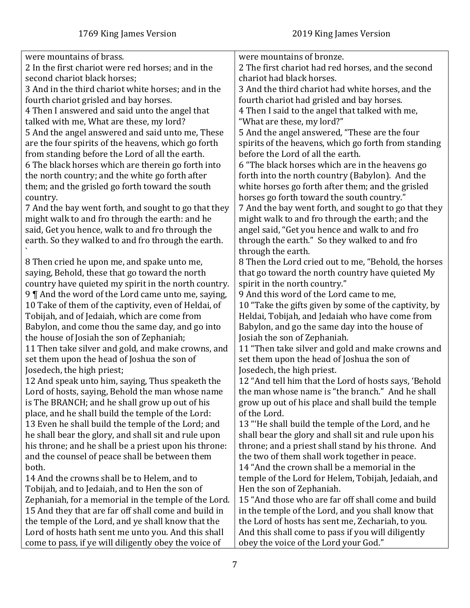| were mountains of brass.                                                                             | were mountains of bronze.                                                                                 |
|------------------------------------------------------------------------------------------------------|-----------------------------------------------------------------------------------------------------------|
| 2 In the first chariot were red horses; and in the                                                   | 2 The first chariot had red horses, and the second                                                        |
| second chariot black horses;                                                                         | chariot had black horses.                                                                                 |
| 3 And in the third chariot white horses; and in the                                                  | 3 And the third chariot had white horses, and the                                                         |
| fourth chariot grisled and bay horses.                                                               | fourth chariot had grisled and bay horses.                                                                |
| 4 Then I answered and said unto the angel that                                                       | 4 Then I said to the angel that talked with me,                                                           |
| talked with me, What are these, my lord?                                                             | "What are these, my lord?"                                                                                |
| 5 And the angel answered and said unto me, These                                                     | 5 And the angel answered, "These are the four                                                             |
| are the four spirits of the heavens, which go forth                                                  | spirits of the heavens, which go forth from standing                                                      |
| from standing before the Lord of all the earth.                                                      | before the Lord of all the earth.                                                                         |
| 6 The black horses which are therein go forth into                                                   | 6 "The black horses which are in the heavens go                                                           |
| the north country; and the white go forth after                                                      | forth into the north country (Babylon). And the                                                           |
| them; and the grisled go forth toward the south                                                      | white horses go forth after them; and the grisled                                                         |
| country.                                                                                             | horses go forth toward the south country."                                                                |
| 7 And the bay went forth, and sought to go that they                                                 | 7 And the bay went forth, and sought to go that they                                                      |
| might walk to and fro through the earth: and he                                                      | might walk to and fro through the earth; and the                                                          |
| said, Get you hence, walk to and fro through the                                                     | angel said, "Get you hence and walk to and fro                                                            |
| earth. So they walked to and fro through the earth.                                                  | through the earth." So they walked to and fro                                                             |
|                                                                                                      | through the earth.                                                                                        |
| 8 Then cried he upon me, and spake unto me,                                                          | 8 Then the Lord cried out to me, "Behold, the horses                                                      |
| saying, Behold, these that go toward the north                                                       | that go toward the north country have quieted My                                                          |
| country have quieted my spirit in the north country.                                                 | spirit in the north country."                                                                             |
| 9    And the word of the Lord came unto me, saying,                                                  | 9 And this word of the Lord came to me,                                                                   |
|                                                                                                      | 10 "Take the gifts given by some of the captivity, by                                                     |
| 10 Take of them of the captivity, even of Heldai, of<br>Tobijah, and of Jedaiah, which are come from | Heldai, Tobijah, and Jedaiah who have come from                                                           |
|                                                                                                      |                                                                                                           |
| Babylon, and come thou the same day, and go into                                                     | Babylon, and go the same day into the house of                                                            |
| the house of Josiah the son of Zephaniah;<br>11 Then take silver and gold, and make crowns, and      | Josiah the son of Zephaniah.                                                                              |
|                                                                                                      | 11 "Then take silver and gold and make crowns and<br>set them upon the head of Joshua the son of          |
| set them upon the head of Joshua the son of                                                          |                                                                                                           |
| Josedech, the high priest;                                                                           | Josedech, the high priest.                                                                                |
| 12 And speak unto him, saying, Thus speaketh the                                                     | 12 "And tell him that the Lord of hosts says, 'Behold<br>the man whose name is "the branch." And he shall |
| Lord of hosts, saying, Behold the man whose name                                                     |                                                                                                           |
| is The BRANCH; and he shall grow up out of his                                                       | grow up out of his place and shall build the temple                                                       |
| place, and he shall build the temple of the Lord:                                                    | of the Lord.                                                                                              |
| 13 Even he shall build the temple of the Lord; and                                                   | 13 "He shall build the temple of the Lord, and he                                                         |
| he shall bear the glory, and shall sit and rule upon                                                 | shall bear the glory and shall sit and rule upon his                                                      |
| his throne; and he shall be a priest upon his throne:                                                | throne; and a priest shall stand by his throne. And                                                       |
| and the counsel of peace shall be between them                                                       | the two of them shall work together in peace.                                                             |
| both.                                                                                                | 14 "And the crown shall be a memorial in the                                                              |
| 14 And the crowns shall be to Helem, and to                                                          | temple of the Lord for Helem, Tobijah, Jedaiah, and                                                       |
| Tobijah, and to Jedaiah, and to Hen the son of                                                       | Hen the son of Zephaniah.                                                                                 |
| Zephaniah, for a memorial in the temple of the Lord.                                                 | 15 "And those who are far off shall come and build                                                        |
| 15 And they that are far off shall come and build in                                                 | in the temple of the Lord, and you shall know that                                                        |
| the temple of the Lord, and ye shall know that the                                                   | the Lord of hosts has sent me, Zechariah, to you.                                                         |
| Lord of hosts hath sent me unto you. And this shall                                                  | And this shall come to pass if you will diligently                                                        |
| come to pass, if ye will diligently obey the voice of                                                | obey the voice of the Lord your God."                                                                     |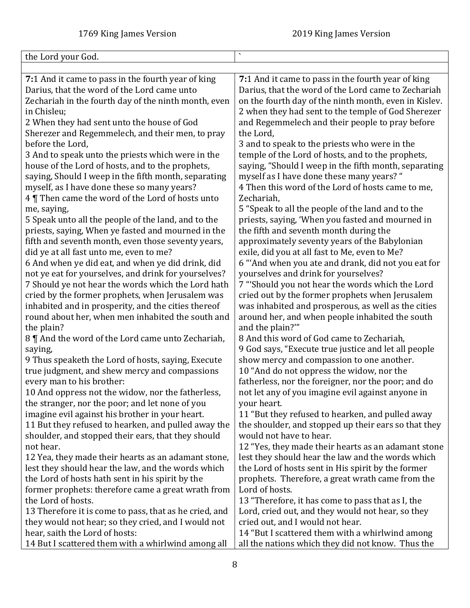<span id="page-7-0"></span>

| the Lord your God.                                     | $\bar{\mathbf{v}}$                                    |
|--------------------------------------------------------|-------------------------------------------------------|
|                                                        |                                                       |
| 7:1 And it came to pass in the fourth year of king     | 7:1 And it came to pass in the fourth year of king    |
| Darius, that the word of the Lord came unto            | Darius, that the word of the Lord came to Zechariah   |
| Zechariah in the fourth day of the ninth month, even   | on the fourth day of the ninth month, even in Kislev. |
| in Chisleu;                                            | 2 when they had sent to the temple of God Sherezer    |
| 2 When they had sent unto the house of God             | and Regemmelech and their people to pray before       |
| Sherezer and Regemmelech, and their men, to pray       | the Lord,                                             |
| before the Lord,                                       | 3 and to speak to the priests who were in the         |
| 3 And to speak unto the priests which were in the      | temple of the Lord of hosts, and to the prophets,     |
| house of the Lord of hosts, and to the prophets,       | saying, "Should I weep in the fifth month, separating |
| saying, Should I weep in the fifth month, separating   | myself as I have done these many years? "             |
| myself, as I have done these so many years?            | 4 Then this word of the Lord of hosts came to me,     |
| 4 Then came the word of the Lord of hosts unto         | Zechariah,                                            |
| me, saying,                                            | 5 "Speak to all the people of the land and to the     |
| 5 Speak unto all the people of the land, and to the    | priests, saying, 'When you fasted and mourned in      |
| priests, saying, When ye fasted and mourned in the     | the fifth and seventh month during the                |
| fifth and seventh month, even those seventy years,     | approximately seventy years of the Babylonian         |
| did ye at all fast unto me, even to me?                | exile, did you at all fast to Me, even to Me?         |
| 6 And when ye did eat, and when ye did drink, did      | 6 "And when you ate and drank, did not you eat for    |
| not ye eat for yourselves, and drink for yourselves?   | yourselves and drink for yourselves?                  |
| 7 Should ye not hear the words which the Lord hath     | 7 "Should you not hear the words which the Lord       |
| cried by the former prophets, when Jerusalem was       | cried out by the former prophets when Jerusalem       |
| inhabited and in prosperity, and the cities thereof    | was inhabited and prosperous, as well as the cities   |
| round about her, when men inhabited the south and      | around her, and when people inhabited the south       |
| the plain?                                             | and the plain?""                                      |
| 8    And the word of the Lord came unto Zechariah,     | 8 And this word of God came to Zechariah,             |
| saying,                                                | 9 God says, "Execute true justice and let all people  |
| 9 Thus speaketh the Lord of hosts, saying, Execute     | show mercy and compassion to one another.             |
| true judgment, and shew mercy and compassions          | 10 "And do not oppress the widow, nor the             |
| every man to his brother:                              | fatherless, nor the foreigner, nor the poor; and do   |
| 10 And oppress not the widow, nor the fatherless,      | not let any of you imagine evil against anyone in     |
| the stranger, nor the poor; and let none of you        | your heart.                                           |
| imagine evil against his brother in your heart.        | 11 "But they refused to hearken, and pulled away      |
| 11 But they refused to hearken, and pulled away the    | the shoulder, and stopped up their ears so that they  |
| shoulder, and stopped their ears, that they should     | would not have to hear.                               |
| not hear.                                              | 12 "Yes, they made their hearts as an adamant stone   |
| 12 Yea, they made their hearts as an adamant stone,    | lest they should hear the law and the words which     |
| lest they should hear the law, and the words which     | the Lord of hosts sent in His spirit by the former    |
| the Lord of hosts hath sent in his spirit by the       | prophets. Therefore, a great wrath came from the      |
| former prophets: therefore came a great wrath from     | Lord of hosts.                                        |
| the Lord of hosts.                                     | 13 "Therefore, it has come to pass that as I, the     |
| 13 Therefore it is come to pass, that as he cried, and | Lord, cried out, and they would not hear, so they     |
| they would not hear; so they cried, and I would not    | cried out, and I would not hear.                      |
| hear, saith the Lord of hosts:                         | 14 "But I scattered them with a whirlwind among       |
| 14 But I scattered them with a whirlwind among all     | all the nations which they did not know. Thus the     |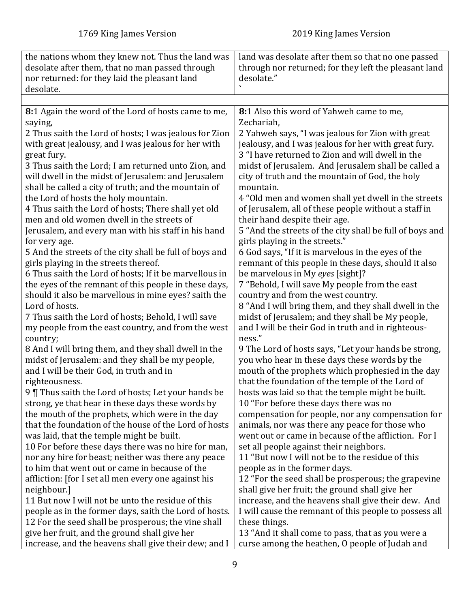<span id="page-8-0"></span>

| the nations whom they knew not. Thus the land was       | land was desolate after them so that no one passed       |
|---------------------------------------------------------|----------------------------------------------------------|
| desolate after them, that no man passed through         | through nor returned; for they left the pleasant land    |
| nor returned: for they laid the pleasant land           | desolate."                                               |
| desolate.                                               |                                                          |
|                                                         |                                                          |
| 8:1 Again the word of the Lord of hosts came to me,     | 8:1 Also this word of Yahweh came to me,                 |
| saying,                                                 | Zechariah,                                               |
| 2 Thus saith the Lord of hosts; I was jealous for Zion  | 2 Yahweh says, "I was jealous for Zion with great        |
| with great jealousy, and I was jealous for her with     | jealousy, and I was jealous for her with great fury.     |
| great fury.                                             | 3 "I have returned to Zion and will dwell in the         |
| 3 Thus saith the Lord; I am returned unto Zion, and     | midst of Jerusalem. And Jerusalem shall be called a      |
| will dwell in the midst of Jerusalem: and Jerusalem     | city of truth and the mountain of God, the holy          |
| shall be called a city of truth; and the mountain of    | mountain.                                                |
| the Lord of hosts the holy mountain.                    | 4 "Old men and women shall yet dwell in the streets      |
| 4 Thus saith the Lord of hosts; There shall yet old     | of Jerusalem, all of these people without a staff in     |
| men and old women dwell in the streets of               | their hand despite their age.                            |
| Jerusalem, and every man with his staff in his hand     | 5 "And the streets of the city shall be full of boys and |
| for very age.                                           | girls playing in the streets."                           |
| 5 And the streets of the city shall be full of boys and | 6 God says, "If it is marvelous in the eyes of the       |
| girls playing in the streets thereof.                   | remnant of this people in these days, should it also     |
| 6 Thus saith the Lord of hosts; If it be marvellous in  | be marvelous in My eyes [sight]?                         |
| the eyes of the remnant of this people in these days,   | 7 "Behold, I will save My people from the east           |
| should it also be marvellous in mine eyes? saith the    | country and from the west country.                       |
| Lord of hosts.                                          | 8 "And I will bring them, and they shall dwell in the    |
| 7 Thus saith the Lord of hosts; Behold, I will save     | midst of Jerusalem; and they shall be My people,         |
| my people from the east country, and from the west      | and I will be their God in truth and in righteous-       |
| country;                                                | ness."                                                   |
| 8 And I will bring them, and they shall dwell in the    | 9 The Lord of hosts says, "Let your hands be strong,     |
| midst of Jerusalem: and they shall be my people,        | you who hear in these days these words by the            |
| and I will be their God, in truth and in                | mouth of the prophets which prophesied in the day        |
| righteousness.                                          | that the foundation of the temple of the Lord of         |
| 9 Thus saith the Lord of hosts; Let your hands be       | hosts was laid so that the temple might be built.        |
| strong, ye that hear in these days these words by       | 10 "For before these days there was no                   |
| the mouth of the prophets, which were in the day        | compensation for people, nor any compensation for        |
| that the foundation of the house of the Lord of hosts   | animals, nor was there any peace for those who           |
| was laid, that the temple might be built.               | went out or came in because of the affliction. For I     |
| 10 For before these days there was no hire for man,     | set all people against their neighbors.                  |
| nor any hire for beast; neither was there any peace     | 11 "But now I will not be to the residue of this         |
| to him that went out or came in because of the          | people as in the former days.                            |
| affliction: [for I set all men every one against his    | 12 "For the seed shall be prosperous; the grapevine      |
| neighbour.]                                             | shall give her fruit; the ground shall give her          |
| 11 But now I will not be unto the residue of this       | increase, and the heavens shall give their dew. And      |
| people as in the former days, saith the Lord of hosts.  | I will cause the remnant of this people to possess all   |
| 12 For the seed shall be prosperous; the vine shall     | these things.                                            |
| give her fruit, and the ground shall give her           | 13 "And it shall come to pass, that as you were a        |
| increase, and the heavens shall give their dew; and I   | curse among the heathen, O people of Judah and           |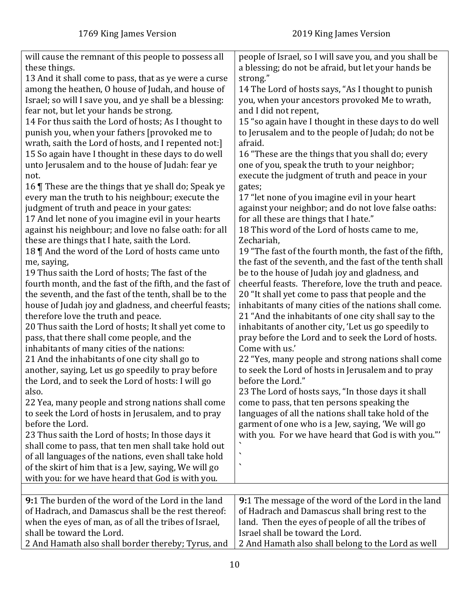<span id="page-9-0"></span>

| will cause the remnant of this people to possess all<br>these things.<br>13 And it shall come to pass, that as ye were a curse<br>among the heathen, O house of Judah, and house of<br>Israel; so will I save you, and ye shall be a blessing:<br>fear not, but let your hands be strong.<br>14 For thus saith the Lord of hosts; As I thought to<br>punish you, when your fathers [provoked me to<br>wrath, saith the Lord of hosts, and I repented not:<br>15 So again have I thought in these days to do well<br>unto Jerusalem and to the house of Judah: fear ye<br>not.<br>16 These are the things that ye shall do; Speak ye<br>every man the truth to his neighbour; execute the<br>judgment of truth and peace in your gates:<br>17 And let none of you imagine evil in your hearts<br>against his neighbour; and love no false oath: for all<br>these are things that I hate, saith the Lord.<br>18    And the word of the Lord of hosts came unto<br>me, saying,<br>19 Thus saith the Lord of hosts; The fast of the<br>fourth month, and the fast of the fifth, and the fast of<br>the seventh, and the fast of the tenth, shall be to the<br>house of Judah joy and gladness, and cheerful feasts;<br>therefore love the truth and peace.<br>20 Thus saith the Lord of hosts; It shall yet come to<br>pass, that there shall come people, and the<br>inhabitants of many cities of the nations:<br>21 And the inhabitants of one city shall go to<br>another, saying, Let us go speedily to pray before<br>the Lord, and to seek the Lord of hosts: I will go<br>also.<br>22 Yea, many people and strong nations shall come<br>to seek the Lord of hosts in Jerusalem, and to pray<br>before the Lord.<br>23 Thus saith the Lord of hosts; In those days it<br>shall come to pass, that ten men shall take hold out<br>of all languages of the nations, even shall take hold<br>of the skirt of him that is a Jew, saying, We will go<br>with you: for we have heard that God is with you. | people of Israel, so I will save you, and you shall be<br>a blessing; do not be afraid, but let your hands be<br>strong."<br>14 The Lord of hosts says, "As I thought to punish<br>you, when your ancestors provoked Me to wrath,<br>and I did not repent,<br>15 "so again have I thought in these days to do well<br>to Jerusalem and to the people of Judah; do not be<br>afraid.<br>16 "These are the things that you shall do; every<br>one of you, speak the truth to your neighbor;<br>execute the judgment of truth and peace in your<br>gates;<br>17 "let none of you imagine evil in your heart<br>against your neighbor; and do not love false oaths:<br>for all these are things that I hate."<br>18 This word of the Lord of hosts came to me,<br>Zechariah,<br>19 "The fast of the fourth month, the fast of the fifth,<br>the fast of the seventh, and the fast of the tenth shall<br>be to the house of Judah joy and gladness, and<br>cheerful feasts. Therefore, love the truth and peace.<br>20 "It shall yet come to pass that people and the<br>inhabitants of many cities of the nations shall come.<br>21 "And the inhabitants of one city shall say to the<br>inhabitants of another city, 'Let us go speedily to<br>pray before the Lord and to seek the Lord of hosts.<br>Come with us.'<br>22 "Yes, many people and strong nations shall come<br>to seek the Lord of hosts in Jerusalem and to pray<br>before the Lord."<br>23 The Lord of hosts says, "In those days it shall<br>come to pass, that ten persons speaking the<br>languages of all the nations shall take hold of the<br>garment of one who is a Jew, saying, 'We will go<br>with you. For we have heard that God is with you."<br>$\overline{\phantom{a}}$ |
|---------------------------------------------------------------------------------------------------------------------------------------------------------------------------------------------------------------------------------------------------------------------------------------------------------------------------------------------------------------------------------------------------------------------------------------------------------------------------------------------------------------------------------------------------------------------------------------------------------------------------------------------------------------------------------------------------------------------------------------------------------------------------------------------------------------------------------------------------------------------------------------------------------------------------------------------------------------------------------------------------------------------------------------------------------------------------------------------------------------------------------------------------------------------------------------------------------------------------------------------------------------------------------------------------------------------------------------------------------------------------------------------------------------------------------------------------------------------------------------------------------------------------------------------------------------------------------------------------------------------------------------------------------------------------------------------------------------------------------------------------------------------------------------------------------------------------------------------------------------------------------------------------------------------------------------------------------------------------------------------------------|------------------------------------------------------------------------------------------------------------------------------------------------------------------------------------------------------------------------------------------------------------------------------------------------------------------------------------------------------------------------------------------------------------------------------------------------------------------------------------------------------------------------------------------------------------------------------------------------------------------------------------------------------------------------------------------------------------------------------------------------------------------------------------------------------------------------------------------------------------------------------------------------------------------------------------------------------------------------------------------------------------------------------------------------------------------------------------------------------------------------------------------------------------------------------------------------------------------------------------------------------------------------------------------------------------------------------------------------------------------------------------------------------------------------------------------------------------------------------------------------------------------------------------------------------------------------------------------------------------------------------------------------------------------------------------------------------------------------------------------------------|
|                                                                                                                                                                                                                                                                                                                                                                                                                                                                                                                                                                                                                                                                                                                                                                                                                                                                                                                                                                                                                                                                                                                                                                                                                                                                                                                                                                                                                                                                                                                                                                                                                                                                                                                                                                                                                                                                                                                                                                                                         |                                                                                                                                                                                                                                                                                                                                                                                                                                                                                                                                                                                                                                                                                                                                                                                                                                                                                                                                                                                                                                                                                                                                                                                                                                                                                                                                                                                                                                                                                                                                                                                                                                                                                                                                                      |
| 9:1 The burden of the word of the Lord in the land<br>of Hadrach, and Damascus shall be the rest thereof:<br>when the eyes of man, as of all the tribes of Israel,<br>shall be toward the Lord.<br>2 And Hamath also shall border thereby; Tyrus, and                                                                                                                                                                                                                                                                                                                                                                                                                                                                                                                                                                                                                                                                                                                                                                                                                                                                                                                                                                                                                                                                                                                                                                                                                                                                                                                                                                                                                                                                                                                                                                                                                                                                                                                                                   | 9:1 The message of the word of the Lord in the land<br>of Hadrach and Damascus shall bring rest to the<br>land. Then the eyes of people of all the tribes of<br>Israel shall be toward the Lord.<br>2 And Hamath also shall belong to the Lord as well                                                                                                                                                                                                                                                                                                                                                                                                                                                                                                                                                                                                                                                                                                                                                                                                                                                                                                                                                                                                                                                                                                                                                                                                                                                                                                                                                                                                                                                                                               |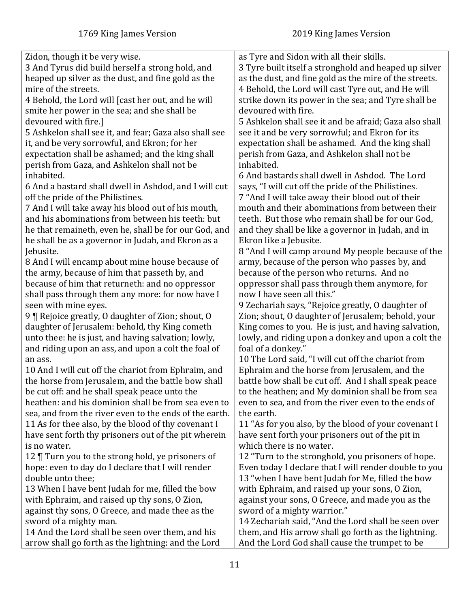| Zidon, though it be very wise.                         | as Tyre and Sidon with all their skills.               |
|--------------------------------------------------------|--------------------------------------------------------|
| 3 And Tyrus did build herself a strong hold, and       | 3 Tyre built itself a stronghold and heaped up silver  |
| heaped up silver as the dust, and fine gold as the     | as the dust, and fine gold as the mire of the streets. |
| mire of the streets.                                   | 4 Behold, the Lord will cast Tyre out, and He will     |
| 4 Behold, the Lord will [cast her out, and he will     | strike down its power in the sea; and Tyre shall be    |
| smite her power in the sea; and she shall be           | devoured with fire.                                    |
| devoured with fire.]                                   | 5 Ashkelon shall see it and be afraid; Gaza also shall |
| 5 Ashkelon shall see it, and fear; Gaza also shall see | see it and be very sorrowful; and Ekron for its        |
| it, and be very sorrowful, and Ekron; for her          | expectation shall be ashamed. And the king shall       |
| expectation shall be ashamed; and the king shall       | perish from Gaza, and Ashkelon shall not be            |
| perish from Gaza, and Ashkelon shall not be            | inhabited.                                             |
| inhabited.                                             | 6 And bastards shall dwell in Ashdod. The Lord         |
| 6 And a bastard shall dwell in Ashdod, and I will cut  | says, "I will cut off the pride of the Philistines.    |
| off the pride of the Philistines.                      | 7 "And I will take away their blood out of their       |
| 7 And I will take away his blood out of his mouth,     | mouth and their abominations from between their        |
| and his abominations from between his teeth: but       | teeth. But those who remain shall be for our God,      |
| he that remaineth, even he, shall be for our God, and  | and they shall be like a governor in Judah, and in     |
| he shall be as a governor in Judah, and Ekron as a     | Ekron like a Jebusite.                                 |
| Jebusite.                                              | 8 "And I will camp around My people because of the     |
| 8 And I will encamp about mine house because of        | army, because of the person who passes by, and         |
| the army, because of him that passeth by, and          | because of the person who returns. And no              |
| because of him that returneth: and no oppressor        | oppressor shall pass through them anymore, for         |
| shall pass through them any more: for now have I       | now I have seen all this."                             |
| seen with mine eyes.                                   | 9 Zechariah says, "Rejoice greatly, O daughter of      |
| 9   Rejoice greatly, 0 daughter of Zion; shout, 0      | Zion; shout, O daughter of Jerusalem; behold, your     |
| daughter of Jerusalem: behold, thy King cometh         | King comes to you. He is just, and having salvation,   |
| unto thee: he is just, and having salvation; lowly,    | lowly, and riding upon a donkey and upon a colt the    |
| and riding upon an ass, and upon a colt the foal of    | foal of a donkey."                                     |
| an ass.                                                | 10 The Lord said, "I will cut off the chariot from     |
| 10 And I will cut off the chariot from Ephraim, and    | Ephraim and the horse from Jerusalem, and the          |
| the horse from Jerusalem, and the battle bow shall     | battle bow shall be cut off. And I shall speak peace   |
| be cut off: and he shall speak peace unto the          | to the heathen; and My dominion shall be from sea      |
| heathen: and his dominion shall be from sea even to    | even to sea, and from the river even to the ends of    |
| sea, and from the river even to the ends of the earth. | the earth.                                             |
| 11 As for thee also, by the blood of thy covenant I    | 11 "As for you also, by the blood of your covenant I   |
| have sent forth thy prisoners out of the pit wherein   | have sent forth your prisoners out of the pit in       |
| is no water.                                           | which there is no water.                               |
| 12 Turn you to the strong hold, ye prisoners of        | 12 "Turn to the stronghold, you prisoners of hope.     |
| hope: even to day do I declare that I will render      | Even today I declare that I will render double to you  |
| double unto thee;                                      | 13 "when I have bent Judah for Me, filled the bow      |
| 13 When I have bent Judah for me, filled the bow       | with Ephraim, and raised up your sons, O Zion,         |
| with Ephraim, and raised up thy sons, O Zion,          | against your sons, O Greece, and made you as the       |
| against thy sons, O Greece, and made thee as the       | sword of a mighty warrior."                            |
| sword of a mighty man.                                 | 14 Zechariah said, "And the Lord shall be seen over    |
| 14 And the Lord shall be seen over them, and his       | them, and His arrow shall go forth as the lightning.   |
| arrow shall go forth as the lightning: and the Lord    | And the Lord God shall cause the trumpet to be         |
|                                                        |                                                        |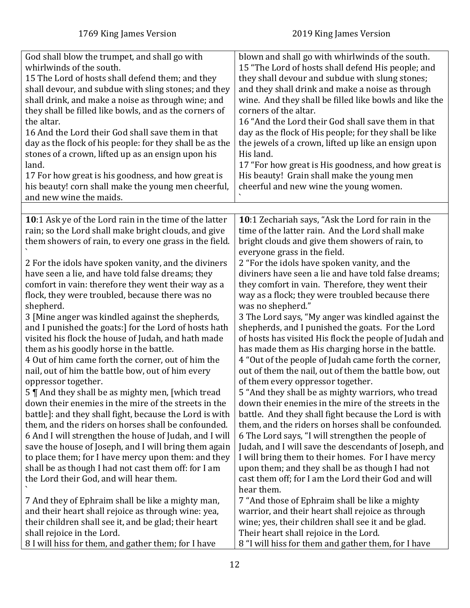<span id="page-11-0"></span>

| God shall blow the trumpet, and shall go with<br>whirlwinds of the south.<br>15 The Lord of hosts shall defend them; and they<br>shall devour, and subdue with sling stones; and they<br>shall drink, and make a noise as through wine; and<br>they shall be filled like bowls, and as the corners of<br>the altar.<br>16 And the Lord their God shall save them in that<br>day as the flock of his people: for they shall be as the<br>stones of a crown, lifted up as an ensign upon his<br>land.<br>17 For how great is his goodness, and how great is<br>his beauty! corn shall make the young men cheerful,<br>and new wine the maids.                                                                                                                                                                                                                                                                                                                                                                                                                                                                                                                                                                                                                                | blown and shall go with whirlwinds of the south.<br>15 "The Lord of hosts shall defend His people; and<br>they shall devour and subdue with slung stones;<br>and they shall drink and make a noise as through<br>wine. And they shall be filled like bowls and like the<br>corners of the altar.<br>16 "And the Lord their God shall save them in that<br>day as the flock of His people; for they shall be like<br>the jewels of a crown, lifted up like an ensign upon<br>His land.<br>17 "For how great is His goodness, and how great is<br>His beauty! Grain shall make the young men<br>cheerful and new wine the young women.                                                                                                                                                                                                                                                                                                                                                                                                                                                                                                                                                                                                                                                                                         |
|----------------------------------------------------------------------------------------------------------------------------------------------------------------------------------------------------------------------------------------------------------------------------------------------------------------------------------------------------------------------------------------------------------------------------------------------------------------------------------------------------------------------------------------------------------------------------------------------------------------------------------------------------------------------------------------------------------------------------------------------------------------------------------------------------------------------------------------------------------------------------------------------------------------------------------------------------------------------------------------------------------------------------------------------------------------------------------------------------------------------------------------------------------------------------------------------------------------------------------------------------------------------------|------------------------------------------------------------------------------------------------------------------------------------------------------------------------------------------------------------------------------------------------------------------------------------------------------------------------------------------------------------------------------------------------------------------------------------------------------------------------------------------------------------------------------------------------------------------------------------------------------------------------------------------------------------------------------------------------------------------------------------------------------------------------------------------------------------------------------------------------------------------------------------------------------------------------------------------------------------------------------------------------------------------------------------------------------------------------------------------------------------------------------------------------------------------------------------------------------------------------------------------------------------------------------------------------------------------------------|
|                                                                                                                                                                                                                                                                                                                                                                                                                                                                                                                                                                                                                                                                                                                                                                                                                                                                                                                                                                                                                                                                                                                                                                                                                                                                            |                                                                                                                                                                                                                                                                                                                                                                                                                                                                                                                                                                                                                                                                                                                                                                                                                                                                                                                                                                                                                                                                                                                                                                                                                                                                                                                              |
| 10:1 Ask ye of the Lord rain in the time of the latter<br>rain; so the Lord shall make bright clouds, and give<br>them showers of rain, to every one grass in the field.<br>2 For the idols have spoken vanity, and the diviners<br>have seen a lie, and have told false dreams; they<br>comfort in vain: therefore they went their way as a<br>flock, they were troubled, because there was no<br>shepherd.<br>3 [Mine anger was kindled against the shepherds,<br>and I punished the goats:] for the Lord of hosts hath<br>visited his flock the house of Judah, and hath made<br>them as his goodly horse in the battle.<br>4 Out of him came forth the corner, out of him the<br>nail, out of him the battle bow, out of him every<br>oppressor together.<br>5    And they shall be as mighty men, [which tread<br>down their enemies in the mire of the streets in the<br>battle]: and they shall fight, because the Lord is with<br>them, and the riders on horses shall be confounded.<br>6 And I will strengthen the house of Judah, and I will<br>save the house of Joseph, and I will bring them again<br>to place them; for I have mercy upon them: and they<br>shall be as though I had not cast them off: for I am<br>the Lord their God, and will hear them. | 10:1 Zechariah says, "Ask the Lord for rain in the<br>time of the latter rain. And the Lord shall make<br>bright clouds and give them showers of rain, to<br>everyone grass in the field.<br>2 "For the idols have spoken vanity, and the<br>diviners have seen a lie and have told false dreams;<br>they comfort in vain. Therefore, they went their<br>way as a flock; they were troubled because there<br>was no shepherd."<br>3 The Lord says, "My anger was kindled against the<br>shepherds, and I punished the goats. For the Lord<br>of hosts has visited His flock the people of Judah and<br>has made them as His charging horse in the battle.<br>4 "Out of the people of Judah came forth the corner,<br>out of them the nail, out of them the battle bow, out<br>of them every oppressor together.<br>5 "And they shall be as mighty warriors, who tread<br>down their enemies in the mire of the streets in the<br>battle. And they shall fight because the Lord is with<br>them, and the riders on horses shall be confounded.<br>6 The Lord says, "I will strengthen the people of<br>Judah, and I will save the descendants of Joseph, and<br>I will bring them to their homes. For I have mercy<br>upon them; and they shall be as though I had not<br>cast them off; for I am the Lord their God and will |
| 7 And they of Ephraim shall be like a mighty man,<br>and their heart shall rejoice as through wine: yea,<br>their children shall see it, and be glad; their heart<br>shall rejoice in the Lord.<br>8 I will hiss for them, and gather them; for I have                                                                                                                                                                                                                                                                                                                                                                                                                                                                                                                                                                                                                                                                                                                                                                                                                                                                                                                                                                                                                     | hear them.<br>7 "And those of Ephraim shall be like a mighty<br>warrior, and their heart shall rejoice as through<br>wine; yes, their children shall see it and be glad.<br>Their heart shall rejoice in the Lord.<br>8 "I will hiss for them and gather them, for I have                                                                                                                                                                                                                                                                                                                                                                                                                                                                                                                                                                                                                                                                                                                                                                                                                                                                                                                                                                                                                                                    |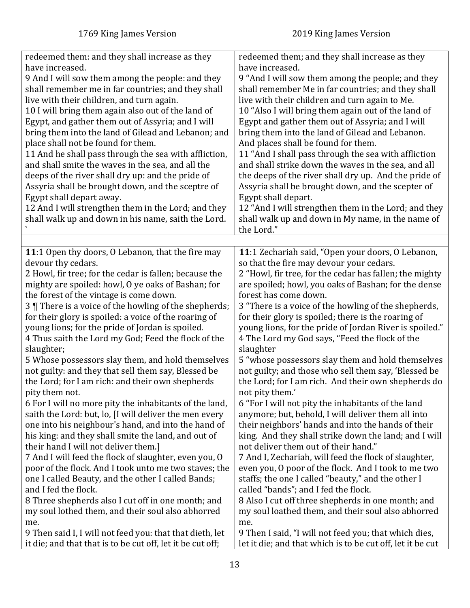<span id="page-12-0"></span>

| redeemed them: and they shall increase as they<br>have increased.<br>9 And I will sow them among the people: and they<br>shall remember me in far countries; and they shall<br>live with their children, and turn again.<br>10 I will bring them again also out of the land of<br>Egypt, and gather them out of Assyria; and I will<br>bring them into the land of Gilead and Lebanon; and<br>place shall not be found for them.<br>11 And he shall pass through the sea with affliction,<br>and shall smite the waves in the sea, and all the<br>deeps of the river shall dry up: and the pride of<br>Assyria shall be brought down, and the sceptre of<br>Egypt shall depart away.<br>12 And I will strengthen them in the Lord; and they<br>shall walk up and down in his name, saith the Lord.                                                                                                                                                                                                                                                                                                                                                                                            | redeemed them; and they shall increase as they<br>have increased.<br>9 "And I will sow them among the people; and they<br>shall remember Me in far countries; and they shall<br>live with their children and turn again to Me.<br>10 "Also I will bring them again out of the land of<br>Egypt and gather them out of Assyria; and I will<br>bring them into the land of Gilead and Lebanon.<br>And places shall be found for them.<br>11 "And I shall pass through the sea with affliction<br>and shall strike down the waves in the sea, and all<br>the deeps of the river shall dry up. And the pride of<br>Assyria shall be brought down, and the scepter of<br>Egypt shall depart.<br>12 "And I will strengthen them in the Lord; and they<br>shall walk up and down in My name, in the name of<br>the Lord."                                                                                                                                                                                                                                                                                                                                                                                               |
|-----------------------------------------------------------------------------------------------------------------------------------------------------------------------------------------------------------------------------------------------------------------------------------------------------------------------------------------------------------------------------------------------------------------------------------------------------------------------------------------------------------------------------------------------------------------------------------------------------------------------------------------------------------------------------------------------------------------------------------------------------------------------------------------------------------------------------------------------------------------------------------------------------------------------------------------------------------------------------------------------------------------------------------------------------------------------------------------------------------------------------------------------------------------------------------------------|------------------------------------------------------------------------------------------------------------------------------------------------------------------------------------------------------------------------------------------------------------------------------------------------------------------------------------------------------------------------------------------------------------------------------------------------------------------------------------------------------------------------------------------------------------------------------------------------------------------------------------------------------------------------------------------------------------------------------------------------------------------------------------------------------------------------------------------------------------------------------------------------------------------------------------------------------------------------------------------------------------------------------------------------------------------------------------------------------------------------------------------------------------------------------------------------------------------|
|                                                                                                                                                                                                                                                                                                                                                                                                                                                                                                                                                                                                                                                                                                                                                                                                                                                                                                                                                                                                                                                                                                                                                                                               |                                                                                                                                                                                                                                                                                                                                                                                                                                                                                                                                                                                                                                                                                                                                                                                                                                                                                                                                                                                                                                                                                                                                                                                                                  |
| 11:1 Open thy doors, O Lebanon, that the fire may<br>devour thy cedars.<br>2 Howl, fir tree; for the cedar is fallen; because the<br>mighty are spoiled: howl, O ye oaks of Bashan; for<br>the forest of the vintage is come down.<br>3 There is a voice of the howling of the shepherds;<br>for their glory is spoiled: a voice of the roaring of<br>young lions; for the pride of Jordan is spoiled.<br>4 Thus saith the Lord my God; Feed the flock of the<br>slaughter;<br>5 Whose possessors slay them, and hold themselves<br>not guilty: and they that sell them say, Blessed be<br>the Lord; for I am rich: and their own shepherds<br>pity them not.<br>6 For I will no more pity the inhabitants of the land,<br>saith the Lord: but, lo, [I will deliver the men every<br>one into his neighbour's hand, and into the hand of<br>his king: and they shall smite the land, and out of<br>their hand I will not deliver them.]<br>7 And I will feed the flock of slaughter, even you, O<br>poor of the flock. And I took unto me two staves; the<br>one I called Beauty, and the other I called Bands;<br>and I fed the flock.<br>8 Three shepherds also I cut off in one month; and | 11:1 Zechariah said, "Open your doors, O Lebanon,<br>so that the fire may devour your cedars.<br>2 "Howl, fir tree, for the cedar has fallen; the mighty<br>are spoiled; howl, you oaks of Bashan; for the dense<br>forest has come down.<br>3 "There is a voice of the howling of the shepherds,<br>for their glory is spoiled; there is the roaring of<br>young lions, for the pride of Jordan River is spoiled."<br>4 The Lord my God says, "Feed the flock of the<br>slaughter<br>5 "whose possessors slay them and hold themselves<br>not guilty; and those who sell them say, 'Blessed be<br>the Lord; for I am rich. And their own shepherds do<br>not pity them.'<br>6 "For I will not pity the inhabitants of the land<br>anymore; but, behold, I will deliver them all into<br>their neighbors' hands and into the hands of their<br>king. And they shall strike down the land; and I will<br>not deliver them out of their hand."<br>7 And I, Zechariah, will feed the flock of slaughter,<br>even you, O poor of the flock. And I took to me two<br>staffs; the one I called "beauty," and the other I<br>called "bands"; and I fed the flock.<br>8 Also I cut off three shepherds in one month; and |
| my soul lothed them, and their soul also abhorred<br>me.<br>9 Then said I, I will not feed you: that that dieth, let                                                                                                                                                                                                                                                                                                                                                                                                                                                                                                                                                                                                                                                                                                                                                                                                                                                                                                                                                                                                                                                                          | my soul loathed them, and their soul also abhorred<br>me.<br>9 Then I said, "I will not feed you; that which dies,                                                                                                                                                                                                                                                                                                                                                                                                                                                                                                                                                                                                                                                                                                                                                                                                                                                                                                                                                                                                                                                                                               |
| it die; and that that is to be cut off, let it be cut off;                                                                                                                                                                                                                                                                                                                                                                                                                                                                                                                                                                                                                                                                                                                                                                                                                                                                                                                                                                                                                                                                                                                                    | let it die; and that which is to be cut off, let it be cut                                                                                                                                                                                                                                                                                                                                                                                                                                                                                                                                                                                                                                                                                                                                                                                                                                                                                                                                                                                                                                                                                                                                                       |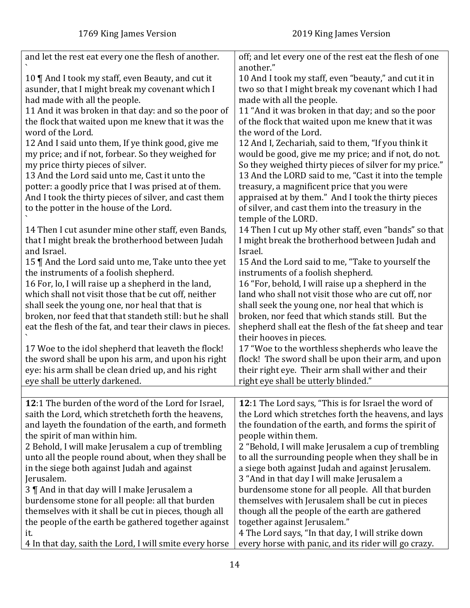<span id="page-13-0"></span>

| and let the rest eat every one the flesh of another.<br>off; and let every one of the rest eat the flesh of one<br>another."<br>10   And I took my staff, even Beauty, and cut it<br>10 And I took my staff, even "beauty," and cut it in<br>asunder, that I might break my covenant which I<br>two so that I might break my covenant which I had<br>had made with all the people.<br>made with all the people.<br>11 "And it was broken in that day; and so the poor<br>11 And it was broken in that day: and so the poor of<br>the flock that waited upon me knew that it was the<br>of the flock that waited upon me knew that it was<br>word of the Lord.<br>the word of the Lord.<br>12 And I said unto them, If ye think good, give me<br>12 And I, Zechariah, said to them, "If you think it<br>my price; and if not, forbear. So they weighed for<br>would be good, give me my price; and if not, do not.<br>my price thirty pieces of silver.<br>So they weighed thirty pieces of silver for my price."<br>13 And the LORD said to me, "Cast it into the temple<br>13 And the Lord said unto me, Cast it unto the<br>potter: a goodly price that I was prised at of them.<br>treasury, a magnificent price that you were<br>appraised at by them." And I took the thirty pieces<br>And I took the thirty pieces of silver, and cast them<br>of silver, and cast them into the treasury in the<br>to the potter in the house of the Lord.<br>temple of the LORD.<br>14 Then I cut up My other staff, even "bands" so that<br>14 Then I cut asunder mine other staff, even Bands,<br>that I might break the brotherhood between Judah<br>I might break the brotherhood between Judah and<br>and Israel.<br>Israel.<br>15 And the Lord said to me, "Take to yourself the<br>15    And the Lord said unto me, Take unto thee yet |
|---------------------------------------------------------------------------------------------------------------------------------------------------------------------------------------------------------------------------------------------------------------------------------------------------------------------------------------------------------------------------------------------------------------------------------------------------------------------------------------------------------------------------------------------------------------------------------------------------------------------------------------------------------------------------------------------------------------------------------------------------------------------------------------------------------------------------------------------------------------------------------------------------------------------------------------------------------------------------------------------------------------------------------------------------------------------------------------------------------------------------------------------------------------------------------------------------------------------------------------------------------------------------------------------------------------------------------------------------------------------------------------------------------------------------------------------------------------------------------------------------------------------------------------------------------------------------------------------------------------------------------------------------------------------------------------------------------------------------------------------------------------------------------------------------------------------------------------|
|                                                                                                                                                                                                                                                                                                                                                                                                                                                                                                                                                                                                                                                                                                                                                                                                                                                                                                                                                                                                                                                                                                                                                                                                                                                                                                                                                                                                                                                                                                                                                                                                                                                                                                                                                                                                                                       |
|                                                                                                                                                                                                                                                                                                                                                                                                                                                                                                                                                                                                                                                                                                                                                                                                                                                                                                                                                                                                                                                                                                                                                                                                                                                                                                                                                                                                                                                                                                                                                                                                                                                                                                                                                                                                                                       |
|                                                                                                                                                                                                                                                                                                                                                                                                                                                                                                                                                                                                                                                                                                                                                                                                                                                                                                                                                                                                                                                                                                                                                                                                                                                                                                                                                                                                                                                                                                                                                                                                                                                                                                                                                                                                                                       |
|                                                                                                                                                                                                                                                                                                                                                                                                                                                                                                                                                                                                                                                                                                                                                                                                                                                                                                                                                                                                                                                                                                                                                                                                                                                                                                                                                                                                                                                                                                                                                                                                                                                                                                                                                                                                                                       |
|                                                                                                                                                                                                                                                                                                                                                                                                                                                                                                                                                                                                                                                                                                                                                                                                                                                                                                                                                                                                                                                                                                                                                                                                                                                                                                                                                                                                                                                                                                                                                                                                                                                                                                                                                                                                                                       |
|                                                                                                                                                                                                                                                                                                                                                                                                                                                                                                                                                                                                                                                                                                                                                                                                                                                                                                                                                                                                                                                                                                                                                                                                                                                                                                                                                                                                                                                                                                                                                                                                                                                                                                                                                                                                                                       |
|                                                                                                                                                                                                                                                                                                                                                                                                                                                                                                                                                                                                                                                                                                                                                                                                                                                                                                                                                                                                                                                                                                                                                                                                                                                                                                                                                                                                                                                                                                                                                                                                                                                                                                                                                                                                                                       |
|                                                                                                                                                                                                                                                                                                                                                                                                                                                                                                                                                                                                                                                                                                                                                                                                                                                                                                                                                                                                                                                                                                                                                                                                                                                                                                                                                                                                                                                                                                                                                                                                                                                                                                                                                                                                                                       |
|                                                                                                                                                                                                                                                                                                                                                                                                                                                                                                                                                                                                                                                                                                                                                                                                                                                                                                                                                                                                                                                                                                                                                                                                                                                                                                                                                                                                                                                                                                                                                                                                                                                                                                                                                                                                                                       |
|                                                                                                                                                                                                                                                                                                                                                                                                                                                                                                                                                                                                                                                                                                                                                                                                                                                                                                                                                                                                                                                                                                                                                                                                                                                                                                                                                                                                                                                                                                                                                                                                                                                                                                                                                                                                                                       |
|                                                                                                                                                                                                                                                                                                                                                                                                                                                                                                                                                                                                                                                                                                                                                                                                                                                                                                                                                                                                                                                                                                                                                                                                                                                                                                                                                                                                                                                                                                                                                                                                                                                                                                                                                                                                                                       |
|                                                                                                                                                                                                                                                                                                                                                                                                                                                                                                                                                                                                                                                                                                                                                                                                                                                                                                                                                                                                                                                                                                                                                                                                                                                                                                                                                                                                                                                                                                                                                                                                                                                                                                                                                                                                                                       |
|                                                                                                                                                                                                                                                                                                                                                                                                                                                                                                                                                                                                                                                                                                                                                                                                                                                                                                                                                                                                                                                                                                                                                                                                                                                                                                                                                                                                                                                                                                                                                                                                                                                                                                                                                                                                                                       |
|                                                                                                                                                                                                                                                                                                                                                                                                                                                                                                                                                                                                                                                                                                                                                                                                                                                                                                                                                                                                                                                                                                                                                                                                                                                                                                                                                                                                                                                                                                                                                                                                                                                                                                                                                                                                                                       |
|                                                                                                                                                                                                                                                                                                                                                                                                                                                                                                                                                                                                                                                                                                                                                                                                                                                                                                                                                                                                                                                                                                                                                                                                                                                                                                                                                                                                                                                                                                                                                                                                                                                                                                                                                                                                                                       |
|                                                                                                                                                                                                                                                                                                                                                                                                                                                                                                                                                                                                                                                                                                                                                                                                                                                                                                                                                                                                                                                                                                                                                                                                                                                                                                                                                                                                                                                                                                                                                                                                                                                                                                                                                                                                                                       |
|                                                                                                                                                                                                                                                                                                                                                                                                                                                                                                                                                                                                                                                                                                                                                                                                                                                                                                                                                                                                                                                                                                                                                                                                                                                                                                                                                                                                                                                                                                                                                                                                                                                                                                                                                                                                                                       |
|                                                                                                                                                                                                                                                                                                                                                                                                                                                                                                                                                                                                                                                                                                                                                                                                                                                                                                                                                                                                                                                                                                                                                                                                                                                                                                                                                                                                                                                                                                                                                                                                                                                                                                                                                                                                                                       |
|                                                                                                                                                                                                                                                                                                                                                                                                                                                                                                                                                                                                                                                                                                                                                                                                                                                                                                                                                                                                                                                                                                                                                                                                                                                                                                                                                                                                                                                                                                                                                                                                                                                                                                                                                                                                                                       |
|                                                                                                                                                                                                                                                                                                                                                                                                                                                                                                                                                                                                                                                                                                                                                                                                                                                                                                                                                                                                                                                                                                                                                                                                                                                                                                                                                                                                                                                                                                                                                                                                                                                                                                                                                                                                                                       |
|                                                                                                                                                                                                                                                                                                                                                                                                                                                                                                                                                                                                                                                                                                                                                                                                                                                                                                                                                                                                                                                                                                                                                                                                                                                                                                                                                                                                                                                                                                                                                                                                                                                                                                                                                                                                                                       |
|                                                                                                                                                                                                                                                                                                                                                                                                                                                                                                                                                                                                                                                                                                                                                                                                                                                                                                                                                                                                                                                                                                                                                                                                                                                                                                                                                                                                                                                                                                                                                                                                                                                                                                                                                                                                                                       |
|                                                                                                                                                                                                                                                                                                                                                                                                                                                                                                                                                                                                                                                                                                                                                                                                                                                                                                                                                                                                                                                                                                                                                                                                                                                                                                                                                                                                                                                                                                                                                                                                                                                                                                                                                                                                                                       |
| the instruments of a foolish shepherd.<br>instruments of a foolish shepherd.                                                                                                                                                                                                                                                                                                                                                                                                                                                                                                                                                                                                                                                                                                                                                                                                                                                                                                                                                                                                                                                                                                                                                                                                                                                                                                                                                                                                                                                                                                                                                                                                                                                                                                                                                          |
| 16 "For, behold, I will raise up a shepherd in the<br>16 For, lo, I will raise up a shepherd in the land,                                                                                                                                                                                                                                                                                                                                                                                                                                                                                                                                                                                                                                                                                                                                                                                                                                                                                                                                                                                                                                                                                                                                                                                                                                                                                                                                                                                                                                                                                                                                                                                                                                                                                                                             |
| which shall not visit those that be cut off, neither<br>land who shall not visit those who are cut off, nor                                                                                                                                                                                                                                                                                                                                                                                                                                                                                                                                                                                                                                                                                                                                                                                                                                                                                                                                                                                                                                                                                                                                                                                                                                                                                                                                                                                                                                                                                                                                                                                                                                                                                                                           |
| shall seek the young one, nor heal that that is<br>shall seek the young one, nor heal that which is                                                                                                                                                                                                                                                                                                                                                                                                                                                                                                                                                                                                                                                                                                                                                                                                                                                                                                                                                                                                                                                                                                                                                                                                                                                                                                                                                                                                                                                                                                                                                                                                                                                                                                                                   |
| broken, nor feed that that standeth still: but he shall<br>broken, nor feed that which stands still. But the                                                                                                                                                                                                                                                                                                                                                                                                                                                                                                                                                                                                                                                                                                                                                                                                                                                                                                                                                                                                                                                                                                                                                                                                                                                                                                                                                                                                                                                                                                                                                                                                                                                                                                                          |
| shepherd shall eat the flesh of the fat sheep and tear<br>eat the flesh of the fat, and tear their claws in pieces.                                                                                                                                                                                                                                                                                                                                                                                                                                                                                                                                                                                                                                                                                                                                                                                                                                                                                                                                                                                                                                                                                                                                                                                                                                                                                                                                                                                                                                                                                                                                                                                                                                                                                                                   |
| their hooves in pieces.                                                                                                                                                                                                                                                                                                                                                                                                                                                                                                                                                                                                                                                                                                                                                                                                                                                                                                                                                                                                                                                                                                                                                                                                                                                                                                                                                                                                                                                                                                                                                                                                                                                                                                                                                                                                               |
| 17 Woe to the idol shepherd that leaveth the flock!<br>17 "Woe to the worthless shepherds who leave the                                                                                                                                                                                                                                                                                                                                                                                                                                                                                                                                                                                                                                                                                                                                                                                                                                                                                                                                                                                                                                                                                                                                                                                                                                                                                                                                                                                                                                                                                                                                                                                                                                                                                                                               |
| the sword shall be upon his arm, and upon his right<br>flock! The sword shall be upon their arm, and upon                                                                                                                                                                                                                                                                                                                                                                                                                                                                                                                                                                                                                                                                                                                                                                                                                                                                                                                                                                                                                                                                                                                                                                                                                                                                                                                                                                                                                                                                                                                                                                                                                                                                                                                             |
| eye: his arm shall be clean dried up, and his right<br>their right eye. Their arm shall wither and their                                                                                                                                                                                                                                                                                                                                                                                                                                                                                                                                                                                                                                                                                                                                                                                                                                                                                                                                                                                                                                                                                                                                                                                                                                                                                                                                                                                                                                                                                                                                                                                                                                                                                                                              |
|                                                                                                                                                                                                                                                                                                                                                                                                                                                                                                                                                                                                                                                                                                                                                                                                                                                                                                                                                                                                                                                                                                                                                                                                                                                                                                                                                                                                                                                                                                                                                                                                                                                                                                                                                                                                                                       |
| eye shall be utterly darkened.<br>right eye shall be utterly blinded."                                                                                                                                                                                                                                                                                                                                                                                                                                                                                                                                                                                                                                                                                                                                                                                                                                                                                                                                                                                                                                                                                                                                                                                                                                                                                                                                                                                                                                                                                                                                                                                                                                                                                                                                                                |
|                                                                                                                                                                                                                                                                                                                                                                                                                                                                                                                                                                                                                                                                                                                                                                                                                                                                                                                                                                                                                                                                                                                                                                                                                                                                                                                                                                                                                                                                                                                                                                                                                                                                                                                                                                                                                                       |
| 12:1 The Lord says, "This is for Israel the word of<br>12:1 The burden of the word of the Lord for Israel,                                                                                                                                                                                                                                                                                                                                                                                                                                                                                                                                                                                                                                                                                                                                                                                                                                                                                                                                                                                                                                                                                                                                                                                                                                                                                                                                                                                                                                                                                                                                                                                                                                                                                                                            |
| saith the Lord, which stretcheth forth the heavens,<br>the Lord which stretches forth the heavens, and lays                                                                                                                                                                                                                                                                                                                                                                                                                                                                                                                                                                                                                                                                                                                                                                                                                                                                                                                                                                                                                                                                                                                                                                                                                                                                                                                                                                                                                                                                                                                                                                                                                                                                                                                           |
| and layeth the foundation of the earth, and formeth<br>the foundation of the earth, and forms the spirit of                                                                                                                                                                                                                                                                                                                                                                                                                                                                                                                                                                                                                                                                                                                                                                                                                                                                                                                                                                                                                                                                                                                                                                                                                                                                                                                                                                                                                                                                                                                                                                                                                                                                                                                           |
| the spirit of man within him.<br>people within them.                                                                                                                                                                                                                                                                                                                                                                                                                                                                                                                                                                                                                                                                                                                                                                                                                                                                                                                                                                                                                                                                                                                                                                                                                                                                                                                                                                                                                                                                                                                                                                                                                                                                                                                                                                                  |
| 2 Behold, I will make Jerusalem a cup of trembling<br>2 "Behold, I will make Jerusalem a cup of trembling                                                                                                                                                                                                                                                                                                                                                                                                                                                                                                                                                                                                                                                                                                                                                                                                                                                                                                                                                                                                                                                                                                                                                                                                                                                                                                                                                                                                                                                                                                                                                                                                                                                                                                                             |
| unto all the people round about, when they shall be<br>to all the surrounding people when they shall be in                                                                                                                                                                                                                                                                                                                                                                                                                                                                                                                                                                                                                                                                                                                                                                                                                                                                                                                                                                                                                                                                                                                                                                                                                                                                                                                                                                                                                                                                                                                                                                                                                                                                                                                            |
| in the siege both against Judah and against<br>a siege both against Judah and against Jerusalem.                                                                                                                                                                                                                                                                                                                                                                                                                                                                                                                                                                                                                                                                                                                                                                                                                                                                                                                                                                                                                                                                                                                                                                                                                                                                                                                                                                                                                                                                                                                                                                                                                                                                                                                                      |
|                                                                                                                                                                                                                                                                                                                                                                                                                                                                                                                                                                                                                                                                                                                                                                                                                                                                                                                                                                                                                                                                                                                                                                                                                                                                                                                                                                                                                                                                                                                                                                                                                                                                                                                                                                                                                                       |
| Jerusalem.<br>3 "And in that day I will make Jerusalem a                                                                                                                                                                                                                                                                                                                                                                                                                                                                                                                                                                                                                                                                                                                                                                                                                                                                                                                                                                                                                                                                                                                                                                                                                                                                                                                                                                                                                                                                                                                                                                                                                                                                                                                                                                              |
| burdensome stone for all people. All that burden<br>3   And in that day will I make Jerusalem a                                                                                                                                                                                                                                                                                                                                                                                                                                                                                                                                                                                                                                                                                                                                                                                                                                                                                                                                                                                                                                                                                                                                                                                                                                                                                                                                                                                                                                                                                                                                                                                                                                                                                                                                       |
| burdensome stone for all people: all that burden<br>themselves with Jerusalem shall be cut in pieces                                                                                                                                                                                                                                                                                                                                                                                                                                                                                                                                                                                                                                                                                                                                                                                                                                                                                                                                                                                                                                                                                                                                                                                                                                                                                                                                                                                                                                                                                                                                                                                                                                                                                                                                  |
| themselves with it shall be cut in pieces, though all<br>though all the people of the earth are gathered                                                                                                                                                                                                                                                                                                                                                                                                                                                                                                                                                                                                                                                                                                                                                                                                                                                                                                                                                                                                                                                                                                                                                                                                                                                                                                                                                                                                                                                                                                                                                                                                                                                                                                                              |
| the people of the earth be gathered together against<br>together against Jerusalem."                                                                                                                                                                                                                                                                                                                                                                                                                                                                                                                                                                                                                                                                                                                                                                                                                                                                                                                                                                                                                                                                                                                                                                                                                                                                                                                                                                                                                                                                                                                                                                                                                                                                                                                                                  |
| 4 The Lord says, "In that day, I will strike down<br>it.                                                                                                                                                                                                                                                                                                                                                                                                                                                                                                                                                                                                                                                                                                                                                                                                                                                                                                                                                                                                                                                                                                                                                                                                                                                                                                                                                                                                                                                                                                                                                                                                                                                                                                                                                                              |
| every horse with panic, and its rider will go crazy.<br>4 In that day, saith the Lord, I will smite every horse                                                                                                                                                                                                                                                                                                                                                                                                                                                                                                                                                                                                                                                                                                                                                                                                                                                                                                                                                                                                                                                                                                                                                                                                                                                                                                                                                                                                                                                                                                                                                                                                                                                                                                                       |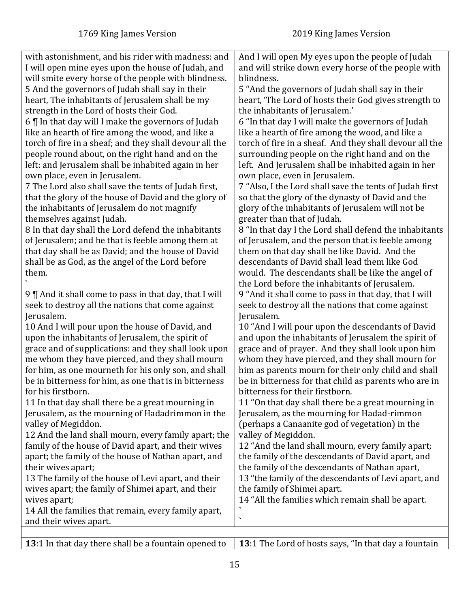| with astonishment, and his rider with madness: and      | And I will open My eyes upon the people of Judah        |
|---------------------------------------------------------|---------------------------------------------------------|
|                                                         |                                                         |
| I will open mine eyes upon the house of Judah, and      | and will strike down every horse of the people with     |
| will smite every horse of the people with blindness.    | blindness.                                              |
| 5 And the governors of Judah shall say in their         | 5 "And the governors of Judah shall say in their        |
| heart, The inhabitants of Jerusalem shall be my         | heart, 'The Lord of hosts their God gives strength to   |
| strength in the Lord of hosts their God.                | the inhabitants of Jerusalem.'                          |
| 6   In that day will I make the governors of Judah      | 6 "In that day I will make the governors of Judah       |
| like an hearth of fire among the wood, and like a       | like a hearth of fire among the wood, and like a        |
| torch of fire in a sheaf; and they shall devour all the | torch of fire in a sheaf. And they shall devour all the |
| people round about, on the right hand and on the        | surrounding people on the right hand and on the         |
| left: and Jerusalem shall be inhabited again in her     | left. And Jerusalem shall be inhabited again in her     |
| own place, even in Jerusalem.                           | own place, even in Jerusalem.                           |
| 7 The Lord also shall save the tents of Judah first,    | 7 "Also, I the Lord shall save the tents of Judah first |
| that the glory of the house of David and the glory of   | so that the glory of the dynasty of David and the       |
|                                                         | glory of the inhabitants of Jerusalem will not be       |
| the inhabitants of Jerusalem do not magnify             |                                                         |
| themselves against Judah.                               | greater than that of Judah.                             |
| 8 In that day shall the Lord defend the inhabitants     | 8 "In that day I the Lord shall defend the inhabitants  |
| of Jerusalem; and he that is feeble among them at       | of Jerusalem, and the person that is feeble among       |
| that day shall be as David; and the house of David      | them on that day shall be like David. And the           |
| shall be as God, as the angel of the Lord before        | descendants of David shall lead them like God           |
| them.                                                   | would. The descendants shall be like the angel of       |
|                                                         | the Lord before the inhabitants of Jerusalem.           |
| 9    And it shall come to pass in that day, that I will | 9 "And it shall come to pass in that day, that I will   |
| seek to destroy all the nations that come against       | seek to destroy all the nations that come against       |
| Jerusalem.                                              | Jerusalem.                                              |
| 10 And I will pour upon the house of David, and         | 10 "And I will pour upon the descendants of David       |
| upon the inhabitants of Jerusalem, the spirit of        | and upon the inhabitants of Jerusalem the spirit of     |
| grace and of supplications: and they shall look upon    | grace and of prayer. And they shall look upon him       |
| me whom they have pierced, and they shall mourn         | whom they have pierced, and they shall mourn for        |
| for him, as one mourneth for his only son, and shall    | him as parents mourn for their only child and shall     |
| be in bitterness for him, as one that is in bitterness  | be in bitterness for that child as parents who are in   |
| for his firstborn                                       | bitterness for their firstborn.                         |
| 11 In that day shall there be a great mourning in       | 11 "On that day shall there be a great mourning in      |
| Jerusalem, as the mourning of Hadadrimmon in the        | Jerusalem, as the mourning for Hadad-rimmon             |
|                                                         |                                                         |
| valley of Megiddon.                                     | (perhaps a Canaanite god of vegetation) in the          |
| 12 And the land shall mourn, every family apart; the    | valley of Megiddon.                                     |
| family of the house of David apart, and their wives     | 12 "And the land shall mourn, every family apart;       |
| apart; the family of the house of Nathan apart, and     | the family of the descendants of David apart, and       |
| their wives apart;                                      | the family of the descendants of Nathan apart,          |
| 13 The family of the house of Levi apart, and their     | 13 "the family of the descendants of Levi apart, and    |
| wives apart; the family of Shimei apart, and their      | the family of Shimei apart.                             |
| wives apart;                                            | 14 "All the families which remain shall be apart.       |
| 14 All the families that remain, every family apart,    |                                                         |
| and their wives apart.                                  | $\overline{\phantom{0}}$                                |
|                                                         |                                                         |

<span id="page-14-0"></span>**[13](#page-0-13)**:1 In that day there shall be a fountain opened to **[13](#page-0-13)**:1 The Lord of hosts says, "In that day a fountain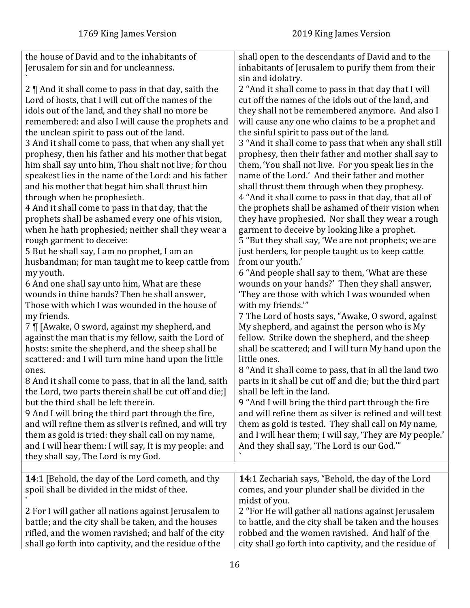<span id="page-15-0"></span>

| the house of David and to the inhabitants of                                                                 | shall open to the descendants of David and to the                                                           |
|--------------------------------------------------------------------------------------------------------------|-------------------------------------------------------------------------------------------------------------|
| Jerusalem for sin and for uncleanness.                                                                       | inhabitants of Jerusalem to purify them from their                                                          |
|                                                                                                              | sin and idolatry.                                                                                           |
| 2    And it shall come to pass in that day, saith the<br>Lord of hosts, that I will cut off the names of the | 2 "And it shall come to pass in that day that I will<br>cut off the names of the idols out of the land, and |
| idols out of the land, and they shall no more be                                                             | they shall not be remembered anymore. And also I                                                            |
| remembered: and also I will cause the prophets and                                                           | will cause any one who claims to be a prophet and                                                           |
| the unclean spirit to pass out of the land.                                                                  | the sinful spirit to pass out of the land.                                                                  |
| 3 And it shall come to pass, that when any shall yet                                                         | 3 "And it shall come to pass that when any shall still                                                      |
| prophesy, then his father and his mother that begat                                                          | prophesy, then their father and mother shall say to                                                         |
| him shall say unto him, Thou shalt not live; for thou                                                        | them, 'You shall not live. For you speak lies in the                                                        |
| speakest lies in the name of the Lord: and his father                                                        | name of the Lord.' And their father and mother                                                              |
| and his mother that begat him shall thrust him                                                               | shall thrust them through when they prophesy.                                                               |
| through when he prophesieth.                                                                                 | 4 "And it shall come to pass in that day, that all of                                                       |
| 4 And it shall come to pass in that day, that the                                                            | the prophets shall be ashamed of their vision when                                                          |
| prophets shall be ashamed every one of his vision,                                                           | they have prophesied. Nor shall they wear a rough                                                           |
| when he hath prophesied; neither shall they wear a                                                           | garment to deceive by looking like a prophet.                                                               |
| rough garment to deceive:                                                                                    | 5 "But they shall say, 'We are not prophets; we are                                                         |
| 5 But he shall say, I am no prophet, I am an                                                                 | just herders, for people taught us to keep cattle                                                           |
| husbandman; for man taught me to keep cattle from                                                            | from our youth.'                                                                                            |
| my youth.                                                                                                    | 6 "And people shall say to them, 'What are these                                                            |
| 6 And one shall say unto him, What are these                                                                 | wounds on your hands?' Then they shall answer,                                                              |
| wounds in thine hands? Then he shall answer,                                                                 | 'They are those with which I was wounded when                                                               |
| Those with which I was wounded in the house of                                                               | with my friends."                                                                                           |
| my friends.                                                                                                  | 7 The Lord of hosts says, "Awake, O sword, against                                                          |
| 7 [ [Awake, 0 sword, against my shepherd, and                                                                | My shepherd, and against the person who is My                                                               |
| against the man that is my fellow, saith the Lord of                                                         | fellow. Strike down the shepherd, and the sheep                                                             |
| hosts: smite the shepherd, and the sheep shall be                                                            | shall be scattered; and I will turn My hand upon the                                                        |
| scattered: and I will turn mine hand upon the little                                                         | little ones.                                                                                                |
| ones.                                                                                                        | 8 "And it shall come to pass, that in all the land two                                                      |
| 8 And it shall come to pass, that in all the land, saith                                                     | parts in it shall be cut off and die; but the third part<br>shall be left in the land.                      |
| the Lord, two parts therein shall be cut off and die;<br>but the third shall be left therein.                | 9 "And I will bring the third part through the fire                                                         |
| 9 And I will bring the third part through the fire,                                                          | and will refine them as silver is refined and will test                                                     |
| and will refine them as silver is refined, and will try                                                      | them as gold is tested. They shall call on My name,                                                         |
| them as gold is tried: they shall call on my name,                                                           | and I will hear them; I will say, 'They are My people.'                                                     |
| and I will hear them: I will say, It is my people: and                                                       | And they shall say, 'The Lord is our God."                                                                  |
| they shall say, The Lord is my God.                                                                          |                                                                                                             |
|                                                                                                              |                                                                                                             |
| 14:1 [Behold, the day of the Lord cometh, and thy                                                            | 14:1 Zechariah says, "Behold, the day of the Lord                                                           |
| spoil shall be divided in the midst of thee.                                                                 | comes, and your plunder shall be divided in the                                                             |
|                                                                                                              | midst of you.                                                                                               |
| 2 For I will gather all nations against Jerusalem to                                                         | 2 "For He will gather all nations against Jerusalem                                                         |
| battle; and the city shall be taken, and the houses                                                          | to battle, and the city shall be taken and the houses                                                       |
| rifled, and the women ravished; and half of the city                                                         | robbed and the women ravished. And half of the                                                              |
| shall go forth into captivity, and the residue of the                                                        | city shall go forth into captivity, and the residue of                                                      |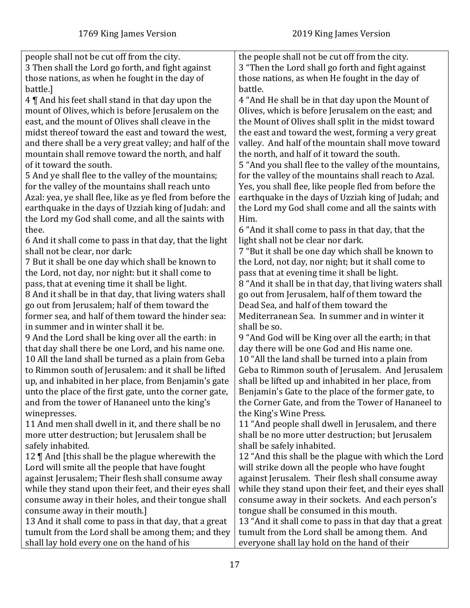people shall not be cut off from the city. 3 Then shall the Lord go forth, and fight against those nations, as when he fought in the day of battle.] 4 ¶ And his feet shall stand in that day upon the mount of Olives, which is before Jerusalem on the east, and the mount of Olives shall cleave in the midst thereof toward the east and toward the west, and there shall be a very great valley; and half of the mountain shall remove toward the north, and half of it toward the south. 5 And ye shall flee to the valley of the mountains; for the valley of the mountains shall reach unto Azal: yea, ye shall flee, like as ye fled from before the earthquake in the days of Uzziah king of Judah: and the Lord my God shall come, and all the saints with thee. 6 And it shall come to pass in that day, that the light shall not be clear, nor dark: 7 But it shall be one day which shall be known to the Lord, not day, nor night: but it shall come to pass, that at evening time it shall be light. 8 And it shall be in that day, that living waters shall go out from Jerusalem; half of them toward the former sea, and half of them toward the hinder sea: in summer and in winter shall it be. 9 And the Lord shall be king over all the earth: in that day shall there be one Lord, and his name one. 10 All the land shall be turned as a plain from Geba to Rimmon south of Jerusalem: and it shall be lifted up, and inhabited in her place, from Benjamin's gate unto the place of the first gate, unto the corner gate, and from the tower of Hananeel unto the king's winepresses. 11 And men shall dwell in it, and there shall be no more utter destruction; but Jerusalem shall be safely inhabited. 12 ¶ And [this shall be the plague wherewith the Lord will smite all the people that have fought against Jerusalem; Their flesh shall consume away while they stand upon their feet, and their eyes shall consume away in their holes, and their tongue shall consume away in their mouth.] 13 And it shall come to pass in that day, that a great tumult from the Lord shall be among them; and they shall lay hold every one on the hand of his the people shall not be cut off from the city. 3 "Then the Lord shall go forth and fight against those nations, as when He fought in the day of battle. 4 "And He shall be in that day upon the Mount of Olives, which is before Jerusalem on the east; and the Mount of Olives shall split in the midst toward the east and toward the west, forming a very great valley. And half of the mountain shall move toward the north, and half of it toward the south. 5 "And you shall flee to the valley of the mountains, for the valley of the mountains shall reach to Azal. Yes, you shall flee, like people fled from before the earthquake in the days of Uzziah king of Judah; and the Lord my God shall come and all the saints with Him. 6 "And it shall come to pass in that day, that the light shall not be clear nor dark. 7 "But it shall be one day which shall be known to the Lord, not day, nor night; but it shall come to pass that at evening time it shall be light. 8 "And it shall be in that day, that living waters shall go out from Jerusalem, half of them toward the Dead Sea, and half of them toward the Mediterranean Sea. In summer and in winter it shall be so. 9 "And God will be King over all the earth; in that day there will be one God and His name one. 10 "All the land shall be turned into a plain from Geba to Rimmon south of Jerusalem. And Jerusalem shall be lifted up and inhabited in her place, from Benjamin's Gate to the place of the former gate, to the Corner Gate, and from the Tower of Hananeel to the King's Wine Press. 11 "And people shall dwell in Jerusalem, and there shall be no more utter destruction; but Jerusalem shall be safely inhabited. 12 "And this shall be the plague with which the Lord will strike down all the people who have fought against Jerusalem. Their flesh shall consume away while they stand upon their feet, and their eyes shall consume away in their sockets. And each person's tongue shall be consumed in this mouth. 13 "And it shall come to pass in that day that a great tumult from the Lord shall be among them. And everyone shall lay hold on the hand of their